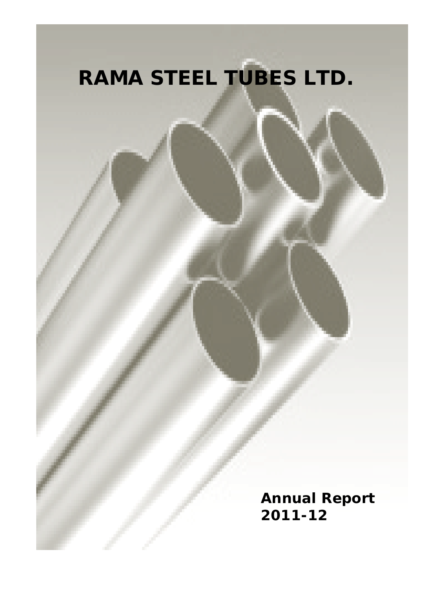# **RAMA STEEL TUBES LTD.**

**Annual Report 2011-12**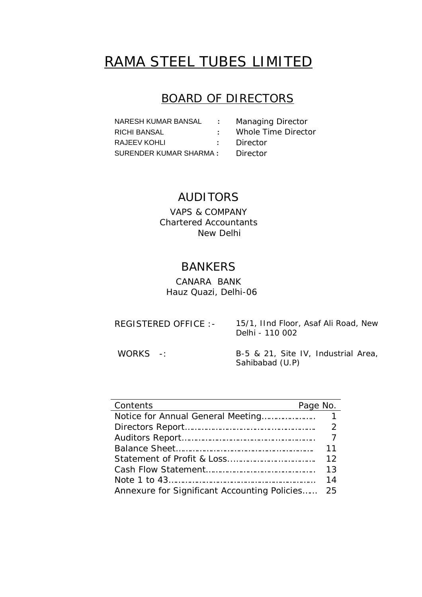# RAMA STEEL TUBES LIMITED

## BOARD OF DIRECTORS

| NARESH KUMAR BANSAL     | it is a      | <b>Managing Director</b> |
|-------------------------|--------------|--------------------------|
| RICHI BANSAL            | t i          | Whole Time Director      |
| RAJEEV KOHLI            | $\mathbf{L}$ | Director                 |
| SURENDER KUMAR SHARMA : |              | Director                 |

# AUDITORS

VAPS & COMPANY Chartered Accountants New Delhi

# BANKERS

CANARA BANK Hauz Quazi, Delhi-06

| REGISTERED OFFICE : - | 15/1, IInd Floor, Asaf Ali Road, New |
|-----------------------|--------------------------------------|
|                       | Delhi - 110 002                      |

WORKS -: B-5 & 21, Site IV, Industrial Area, Sahibabad (U.P)

| Page No.<br>Contents                         |                |
|----------------------------------------------|----------------|
|                                              |                |
|                                              | $\mathcal{P}$  |
|                                              | $\overline{7}$ |
|                                              | 11             |
|                                              | 12             |
|                                              | 13             |
|                                              | 14             |
| Annexure for Significant Accounting Policies | 25             |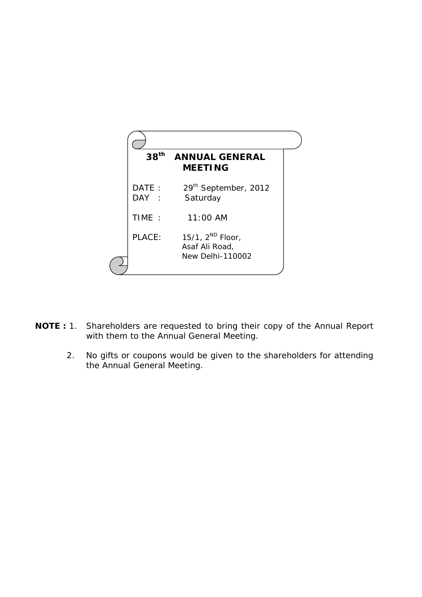

- **NOTE :** 1. Shareholders are requested to bring their copy of the Annual Report with them to the Annual General Meeting.
	- 2. No gifts or coupons would be given to the shareholders for attending the Annual General Meeting.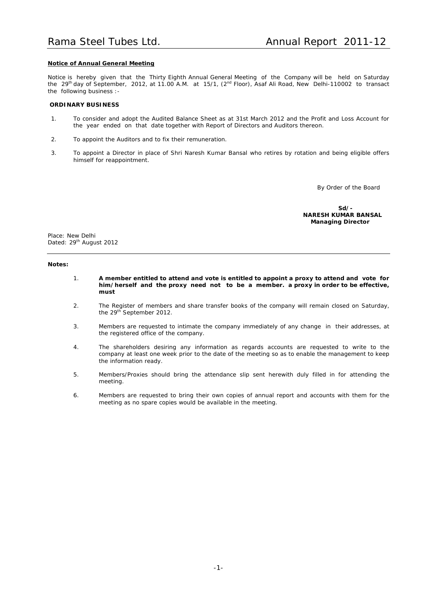### **Notice of Annual General Meeting**

Notice is hereby given that the Thirty Eighth Annual General Meeting of the Company will be held on Saturday the 29<sup>th</sup> day of September, 2012, at 11.00 A.M. at 15/1, (2<sup>nd</sup> Floor), Asaf Ali Road, New Delhi-110002 to transact the following business :-

### **ORDINARY BUSINESS**

- 1. To consider and adopt the Audited Balance Sheet as at 31st March 2012 and the Profit and Loss Account for the year ended on that date together with Report of Directors and Auditors thereon.
- 2. To appoint the Auditors and to fix their remuneration.
- 3. To appoint a Director in place of Shri Naresh Kumar Bansal who retires by rotation and being eligible offers himself for reappointment.

By Order of the Board

**Sd/- NARESH KUMAR BANSAL Managing Director**

Place: New Delhi Dated: 29<sup>th</sup> August 2012

### **Notes:**

- 1. **A member entitled to attend and vote is entitled to appoint a proxy to attend and vote for him/herself and the proxy need not to be a member. a proxy in order to be effective, must**
- 2. The Register of members and share transfer books of the company will remain closed on Saturday, the 29<sup>th</sup> September 2012.
- 3. Members are requested to intimate the company immediately of any change in their addresses, at the registered office of the company.
- 4. The shareholders desiring any information as regards accounts are requested to write to the company at least one week prior to the date of the meeting so as to enable the management to keep the information ready.
- 5. Members/Proxies should bring the attendance slip sent herewith duly filled in for attending the meeting.
- 6. Members are requested to bring their own copies of annual report and accounts with them for the meeting as no spare copies would be available in the meeting.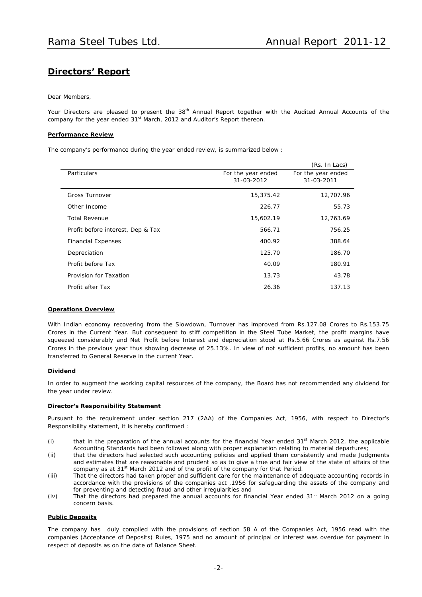### **Directors' Report**

### Dear Members,

Your Directors are pleased to present the 38<sup>th</sup> Annual Report together with the Audited Annual Accounts of the company for the year ended 31<sup>st</sup> March, 2012 and Auditor's Report thereon.

### **Performance Review**

The company's performance during the year ended review, is summarized below :

|                                   |                                  | (Rs. In Lacs)                    |
|-----------------------------------|----------------------------------|----------------------------------|
| Particulars                       | For the year ended<br>31-03-2012 | For the year ended<br>31-03-2011 |
|                                   |                                  |                                  |
| <b>Gross Turnover</b>             | 15,375.42                        | 12,707.96                        |
| Other Income                      | 226.77                           | 55.73                            |
| <b>Total Revenue</b>              | 15,602.19                        | 12,763.69                        |
| Profit before interest, Dep & Tax | 566.71                           | 756.25                           |
| <b>Financial Expenses</b>         | 400.92                           | 388.64                           |
| Depreciation                      | 125.70                           | 186.70                           |
| Profit before Tax                 | 40.09                            | 180.91                           |
| Provision for Taxation            | 13.73                            | 43.78                            |
| Profit after Tax                  | 26.36                            | 137.13                           |

### **Operations Overview**

With Indian economy recovering from the Slowdown, Turnover has improved from Rs.127.08 Crores to Rs.153.75 Crores in the Current Year. But consequent to stiff competition in the Steel Tube Market, the profit margins have squeezed considerably and Net Profit before Interest and depreciation stood at Rs.5.66 Crores as against Rs.7.56 Crores in the previous year thus showing decrease of 25.13%. In view of not sufficient profits, no amount has been transferred to General Reserve in the current Year.

### **Dividend**

In order to augment the working capital resources of the company, the Board has not recommended any dividend for the year under review.

### **Director's Responsibility Statement**

Pursuant to the requirement under section 217 (2AA) of the Companies Act, 1956, with respect to Director's Responsibility statement, it is hereby confirmed :

- (i) that in the preparation of the annual accounts for the financial Year ended  $31<sup>st</sup>$  March 2012, the applicable Accounting Standards had been followed along with proper explanation relating to material departures;
- (ii) that the directors had selected such accounting policies and applied them consistently and made Judgments and estimates that are reasonable and prudent so as to give a true and fair view of the state of affairs of the company as at 31<sup>st</sup> March 2012 and of the profit of the company for that Period.
- (iii) That the directors had taken proper and sufficient care for the maintenance of adequate accounting records in accordance with the provisions of the companies act ,1956 for safeguarding the assets of the company and for preventing and detecting fraud and other irregularities and
- (iv) That the directors had prepared the annual accounts for financial Year ended 31<sup>st</sup> March 2012 on a going concern basis.

### **Public Deposits**

The company has duly complied with the provisions of section 58 A of the Companies Act, 1956 read with the companies (Acceptance of Deposits) Rules, 1975 and no amount of principal or interest was overdue for payment in respect of deposits as on the date of Balance Sheet.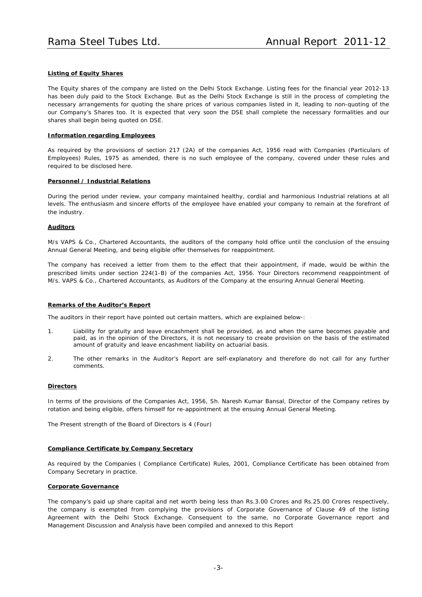### **Listing of Equity Shares**

The Equity shares of the company are listed on the Delhi Stock Exchange. Listing fees for the financial year 2012-13 has been duly paid to the Stock Exchange. But as the Delhi Stock Exchange is still in the process of completing the necessary arrangements for quoting the share prices of various companies listed in it, leading to non-quoting of the our Company's Shares too. It is expected that very soon the DSE shall complete the necessary formalities and our shares shall begin being quoted on DSE.

### **Information regarding Employees**

As required by the provisions of section 217 (2A) of the companies Act, 1956 read with Companies (Particulars of Employees) Rules, 1975 as amended, there is no such employee of the company, covered under these rules and required to be disclosed here.

### **Personnel / Industrial Relations**

During the period under review, your company maintained healthy, cordial and harmonious Industrial relations at all levels. The enthusiasm and sincere efforts of the employee have enabled your company to remain at the forefront of the industry.

### **Auditors**

M/s VAPS & Co., Chartered Accountants, the auditors of the company hold office until the conclusion of the ensuing Annual General Meeting, and being eligible offer themselves for reappointment.

The company has received a letter from them to the effect that their appointment, if made, would be within the prescribed limits under section 224(1-B) of the companies Act, 1956. Your Directors recommend reappointment of M/s. VAPS & Co., Chartered Accountants, as Auditors of the Company at the ensuring Annual General Meeting.

### **Remarks of the Auditor's Report**

The auditors in their report have pointed out certain matters, which are explained below-:

- 1. Liability for gratuity and leave encashment shall be provided, as and when the same becomes payable and paid, as in the opinion of the Directors, it is not necessary to create provision on the basis of the estimated amount of gratuity and leave encashment liability on actuarial basis.
- 2. The other remarks in the Auditor's Report are self-explanatory and therefore do not call for any further comments.

### **Directors**

In terms of the provisions of the Companies Act, 1956, Sh. Naresh Kumar Bansal, Director of the Company retires by rotation and being eligible, offers himself for re-appointment at the ensuing Annual General Meeting.

The Present strength of the Board of Directors is 4 (Four)

### **Compliance Certificate by Company Secretary**

As required by the Companies ( Compliance Certificate) Rules, 2001, Compliance Certificate has been obtained from Company Secretary in practice.

### **Corporate Governance**

The company's paid up share capital and net worth being less than Rs.3.00 Crores and Rs.25.00 Crores respectively, the company is exempted from complying the provisions of Corporate Governance of Clause 49 of the listing Agreement with the Delhi Stock Exchange. Consequent to the same, no Corporate Governance report and Management Discussion and Analysis have been compiled and annexed to this Report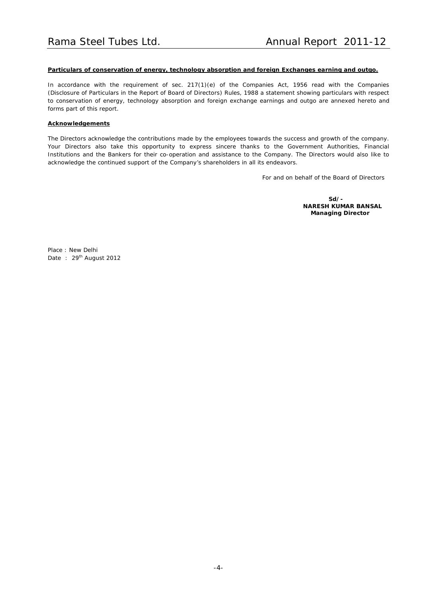### **Particulars of conservation of energy, technology absorption and foreign Exchanges earning and outgo.**

In accordance with the requirement of sec. 217(1)(e) of the Companies Act, 1956 read with the Companies (Disclosure of Particulars in the Report of Board of Directors) Rules, 1988 a statement showing particulars with respect to conservation of energy, technology absorption and foreign exchange earnings and outgo are annexed hereto and forms part of this report.

### **Acknowledgements**

The Directors acknowledge the contributions made by the employees towards the success and growth of the company. Your Directors also take this opportunity to express sincere thanks to the Government Authorities, Financial Institutions and the Bankers for their co-operation and assistance to the Company. The Directors would also like to acknowledge the continued support of the Company's shareholders in all its endeavors.

For and on behalf of the Board of Directors

**Sd/- NARESH KUMAR BANSAL Managing Director**

Place : New Delhi Date: 29<sup>th</sup> August 2012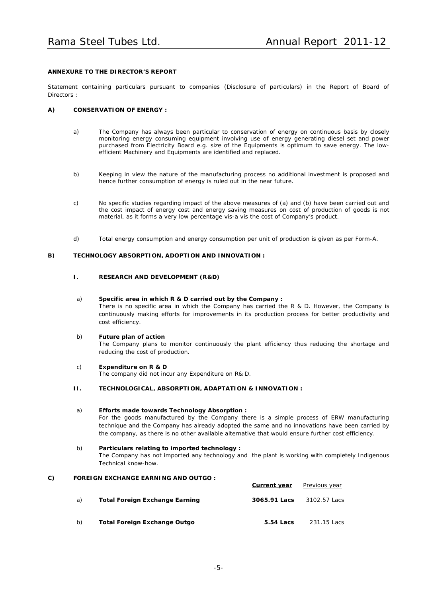### **ANNEXURE TO THE DIRECTOR'S REPORT**

Statement containing particulars pursuant to companies (Disclosure of particulars) in the Report of Board of Directors :

### **A) CONSERVATION OF ENERGY :**

- a) The Company has always been particular to conservation of energy on continuous basis by closely monitoring energy consuming equipment involving use of energy generating diesel set and power purchased from Electricity Board e.g. size of the Equipments is optimum to save energy. The lowefficient Machinery and Equipments are identified and replaced.
- b) Keeping in view the nature of the manufacturing process no additional investment is proposed and hence further consumption of energy is ruled out in the near future.
- c) No specific studies regarding impact of the above measures of (a) and (b) have been carried out and the cost impact of energy cost and energy saving measures on cost of production of goods is not material, as it forms a very low percentage vis-a vis the cost of Company's product.
- d) Total energy consumption and energy consumption per unit of production is given as per Form-A.

### **B) TECHNOLOGY ABSORPTION, ADOPTION AND INNOVATION :**

### **I. RESEARCH AND DEVELOPMENT (R&D)**

### a) **Specific area in which R & D carried out by the Company :**

There is no specific area in which the Company has carried the R & D. However, the Company is continuously making efforts for improvements in its production process for better productivity and cost efficiency.

### b) **Future plan of action**

The Company plans to monitor continuously the plant efficiency thus reducing the shortage and reducing the cost of production.

### c) **Expenditure on R & D** The company did not incur any Expenditure on R& D.

**II. TECHNOLOGICAL, ABSORPTION, ADAPTATION & INNOVATION :**

### a) **Efforts made towards Technology Absorption :**

For the goods manufactured by the Company there is a simple process of ERW manufacturing technique and the Company has already adopted the same and no innovations have been carried by the company, as there is no other available alternative that would ensure further cost efficiency.

### b) **Particulars relating to imported technology :**

The Company has not imported any technology and the plant is working with completely Indigenous Technical know-how.

### **C) FOREIGN EXCHANGE EARNING AND OUTGO :**

|    |                                       | Current year | Previous year |
|----|---------------------------------------|--------------|---------------|
| a) | <b>Total Foreign Exchange Earning</b> | 3065.91 Lacs | 3102.57 Lacs  |
| b) | Total Foreign Exchange Outgo          | 5.54 Lacs    | 231.15 Lacs   |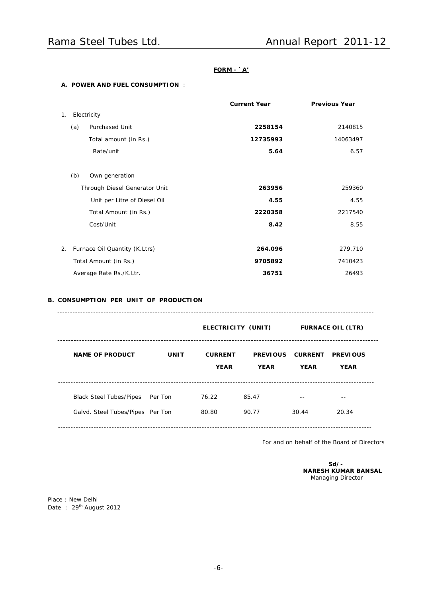### **FORM - `A'**

### **A. POWER AND FUEL CONSUMPTION** :

|    |     |                               | <b>Current Year</b> | <b>Previous Year</b> |
|----|-----|-------------------------------|---------------------|----------------------|
| 1. |     | Electricity                   |                     |                      |
|    | (a) | <b>Purchased Unit</b>         | 2258154             | 2140815              |
|    |     | Total amount (in Rs.)         | 12735993            | 14063497             |
|    |     | Rate/unit                     | 5.64                | 6.57                 |
|    |     |                               |                     |                      |
|    | (b) | Own generation                |                     |                      |
|    |     | Through Diesel Generator Unit | 263956              | 259360               |
|    |     | Unit per Litre of Diesel Oil  | 4.55                | 4.55                 |
|    |     | Total Amount (in Rs.)         | 2220358             | 2217540              |
|    |     | Cost/Unit                     | 8.42                | 8.55                 |
|    |     |                               |                     |                      |
| 2. |     | Furnace Oil Quantity (K.Ltrs) | 264.096             | 279.710              |
|    |     | Total Amount (in Rs.)         | 9705892             | 7410423              |
|    |     | Average Rate Rs./K.Ltr.       | 36751               | 26493                |
|    |     |                               |                     |                      |

### **B. CONSUMPTION PER UNIT OF PRODUCTION**

|                                                                    |             | ELECTRICITY (UNIT)            |                                | <b>FURNACE OIL (LTR)</b>      |                                |
|--------------------------------------------------------------------|-------------|-------------------------------|--------------------------------|-------------------------------|--------------------------------|
| <b>NAME OF PRODUCT</b>                                             | <b>UNIT</b> | <b>CURRENT</b><br><b>YEAR</b> | <b>PREVIOUS</b><br><b>YEAR</b> | <b>CURRENT</b><br><b>YEAR</b> | <b>PREVIOUS</b><br><b>YEAR</b> |
| <b>Black Steel Tubes/Pipes</b><br>Galvd. Steel Tubes/Pipes Per Ton | Per Ton     | 76.22<br>80.80                | 85.47<br>90.77                 | 30.44                         | 20.34                          |

For and on behalf of the Board of Directors

**Sd/- NARESH KUMAR BANSAL** Managing Director

Place : New Delhi Date: 29<sup>th</sup> August 2012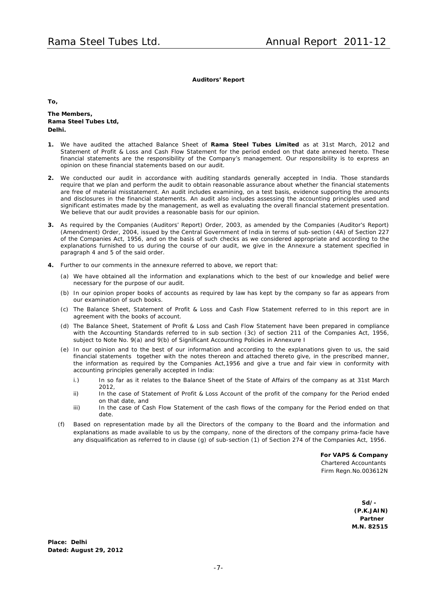**Auditors' Report**

**To,**

**The Members, Rama Steel Tubes Ltd, Delhi.**

- **1.** We have audited the attached Balance Sheet of **Rama Steel Tubes Limited** as at 31st March, 2012 and Statement of Profit & Loss and Cash Flow Statement for the period ended on that date annexed hereto. These financial statements are the responsibility of the Company's management. Our responsibility is to express an opinion on these financial statements based on our audit.
- **2.** We conducted our audit in accordance with auditing standards generally accepted in India. Those standards require that we plan and perform the audit to obtain reasonable assurance about whether the financial statements are free of material misstatement. An audit includes examining, on a test basis, evidence supporting the amounts and disclosures in the financial statements. An audit also includes assessing the accounting principles used and significant estimates made by the management, as well as evaluating the overall financial statement presentation. We believe that our audit provides a reasonable basis for our opinion.
- **3.** As required by the Companies (Auditors' Report) Order, 2003, as amended by the Companies (Auditor's Report) (Amendment) Order, 2004, issued by the Central Government of India in terms of sub-section (4A) of Section 227 of the Companies Act, 1956, and on the basis of such checks as we considered appropriate and according to the explanations furnished to us during the course of our audit, we give in the Annexure a statement specified in paragraph 4 and 5 of the said order.
- **4.** Further to our comments in the annexure referred to above, we report that:
	- (a) We have obtained all the information and explanations which to the best of our knowledge and belief were necessary for the purpose of our audit.
	- (b) In our opinion proper books of accounts as required by law has kept by the company so far as appears from our examination of such books.
	- (c) The Balance Sheet, Statement of Profit & Loss and Cash Flow Statement referred to in this report are in agreement with the books of account.
	- (d) The Balance Sheet, Statement of Profit & Loss and Cash Flow Statement have been prepared in compliance with the Accounting Standards referred to in sub section (3c) of section 211 of the Companies Act, 1956, subject to Note No. 9(a) and 9(b) of Significant Accounting Policies in Annexure I
	- (e) In our opinion and to the best of our information and according to the explanations given to us, the said financial statements together with the notes thereon and attached thereto give, in the prescribed manner, the information as required by the Companies Act,1956 and give a true and fair view in conformity with accounting principles generally accepted in India:
		- i.) In so far as it relates to the Balance Sheet of the State of Affairs of the company as at 31st March 2012,
		- ii) In the case of Statement of Profit & Loss Account of the profit of the company for the Period ended on that date, and
		- iii) In the case of Cash Flow Statement of the cash flows of the company for the Period ended on that date.
	- (f) Based on representation made by all the Directors of the company to the Board and the information and explanations as made available to us by the company, none of the directors of the company prima-facie have any disqualification as referred to in clause (g) of sub-section (1) of Section 274 of the Companies Act, 1956.

**For VAPS & Company** *Chartered Accountants* Firm Regn.No.003612N

> **Sd/- (P.K.JAIN) Partner M.N. 82515**

**Place: Delhi Dated: August 29, 2012**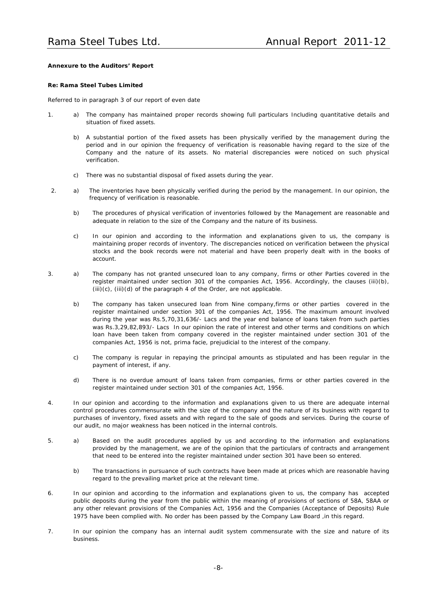### **Annexure to the Auditors' Report**

### **Re: Rama Steel Tubes Limited**

Referred to in paragraph 3 of our report of even date

- 1. a) The company has maintained proper records showing full particulars Including quantitative details and situation of fixed assets.
	- b) A substantial portion of the fixed assets has been physically verified by the management during the period and in our opinion the frequency of verification is reasonable having regard to the size of the Company and the nature of its assets. No material discrepancies were noticed on such physical verification.
	- c) There was no substantial disposal of fixed assets during the year.
- 2. a) The inventories have been physically verified during the period by the management. In our opinion, the frequency of verification is reasonable.
	- b) The procedures of physical verification of inventories followed by the Management are reasonable and adequate in relation to the size of the Company and the nature of its business.
	- c) In our opinion and according to the information and explanations given to us, the company is maintaining proper records of inventory. The discrepancies noticed on verification between the physical stocks and the book records were not material and have been properly dealt with in the books of account.
- 3. a) The company has not granted unsecured loan to any company, firms or other Parties covered in the register maintained under section 301 of the companies Act, 1956. Accordingly, the clauses (iii)(b),  $(iii)(c)$ ,  $(iii)(d)$  of the paragraph 4 of the Order, are not applicable.
	- b) The company has taken unsecured loan from Nine company,firms or other parties covered in the register maintained under section 301 of the companies Act, 1956. The maximum amount involved during the year was Rs.5,70,31,636/- Lacs and the year end balance of loans taken from such parties was Rs.3,29,82,893/- Lacs In our opinion the rate of interest and other terms and conditions on which loan have been taken from company covered in the register maintained under section 301 of the companies Act, 1956 is not, prima facie, prejudicial to the interest of the company.
	- c) The company is regular in repaying the principal amounts as stipulated and has been regular in the payment of interest, if any.
	- d) There is no overdue amount of loans taken from companies, firms or other parties covered in the register maintained under section 301 of the companies Act, 1956.
- 4. In our opinion and according to the information and explanations given to us there are adequate internal control procedures commensurate with the size of the company and the nature of its business with regard to purchases of inventory, fixed assets and with regard to the sale of goods and services. During the course of our audit, no major weakness has been noticed in the internal controls.
- 5. a) Based on the audit procedures applied by us and according to the information and explanations provided by the management, we are of the opinion that the particulars of contracts and arrangement that need to be entered into the register maintained under section 301 have been so entered.
	- b) The transactions in pursuance of such contracts have been made at prices which are reasonable having regard to the prevailing market price at the relevant time.
- 6. In our opinion and according to the information and explanations given to us, the company has accepted public deposits during the year from the public within the meaning of provisions of sections of 58A, 58AA or any other relevant provisions of the Companies Act, 1956 and the Companies (Acceptance of Deposits) Rule 1975 have been complied with. No order has been passed by the Company Law Board ,in this regard.
- 7. In our opinion the company has an internal audit system commensurate with the size and nature of its business.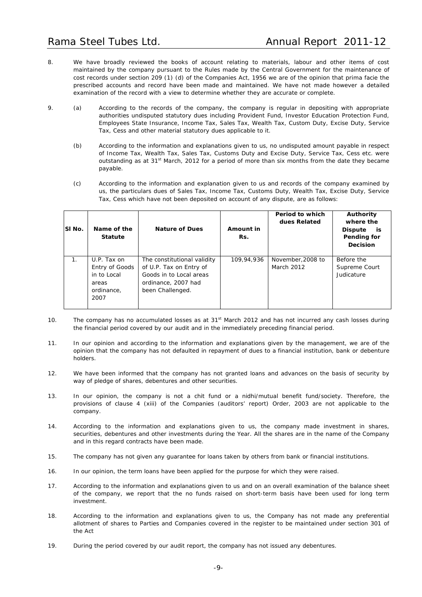- 8. We have broadly reviewed the books of account relating to materials, labour and other items of cost maintained by the company pursuant to the Rules made by the Central Government for the maintenance of cost records under section 209 (1) (d) of the Companies Act, 1956 we are of the opinion that prima facie the prescribed accounts and record have been made and maintained. We have not made however a detailed examination of the record with a view to determine whether they are accurate or complete.
- 9. (a) According to the records of the company, the company is regular in depositing with appropriate authorities undisputed statutory dues including Provident Fund, Investor Education Protection Fund, Employees State Insurance, Income Tax, Sales Tax, Wealth Tax, Custom Duty, Excise Duty, Service Tax, Cess and other material statutory dues applicable to it.
	- (b) According to the information and explanations given to us, no undisputed amount payable in respect of Income Tax, Wealth Tax, Sales Tax, Customs Duty and Excise Duty, Service Tax, Cess etc. were outstanding as at 31<sup>st</sup> March, 2012 for a period of more than six months from the date they became payable.
	- (c) According to the information and explanation given to us and records of the company examined by us, the particulars dues of Sales Tax, Income Tax, Customs Duty, Wealth Tax, Excise Duty, Service Tax, Cess which have not been deposited on account of any dispute, are as follows:

| SI No.         | Name of the<br><b>Statute</b>                                               | <b>Nature of Dues</b>                                                                                                        | Amount in<br>Rs. | Period to which<br>dues Related | Authority<br>where the<br><b>Dispute</b><br>is<br>Pending for<br>Decision |
|----------------|-----------------------------------------------------------------------------|------------------------------------------------------------------------------------------------------------------------------|------------------|---------------------------------|---------------------------------------------------------------------------|
| 1 <sub>1</sub> | U.P. Tax on<br>Entry of Goods<br>in to Local<br>areas<br>ordinance,<br>2007 | The constitutional validity<br>of U.P. Tax on Entry of<br>Goods in to Local areas<br>ordinance, 2007 had<br>been Challenged. | 109.94.936       | November, 2008 to<br>March 2012 | Before the<br>Supreme Court<br>Judicature                                 |

- 10. The company has no accumulated losses as at 31<sup>st</sup> March 2012 and has not incurred any cash losses during the financial period covered by our audit and in the immediately preceding financial period.
- 11. In our opinion and according to the information and explanations given by the management, we are of the opinion that the company has not defaulted in repayment of dues to a financial institution, bank or debenture holders.
- 12. We have been informed that the company has not granted loans and advances on the basis of security by way of pledge of shares, debentures and other securities.
- 13. In our opinion, the company is not a chit fund or a nidhi/mutual benefit fund/society. Therefore, the provisions of clause 4 (xiii) of the Companies (auditors' report) Order, 2003 are not applicable to the company.
- 14. According to the information and explanations given to us, the company made investment in shares, securities, debentures and other investments during the Year. All the shares are in the name of the Company and in this regard contracts have been made.
- 15. The company has not given any guarantee for loans taken by others from bank or financial institutions.
- 16. In our opinion, the term loans have been applied for the purpose for which they were raised.
- 17. According to the information and explanations given to us and on an overall examination of the balance sheet of the company, we report that the no funds raised on short-term basis have been used for long term investment.
- 18. According to the information and explanations given to us, the Company has not made any preferential allotment of shares to Parties and Companies covered in the register to be maintained under section 301 of the Act
- 19. During the period covered by our audit report, the company has not issued any debentures.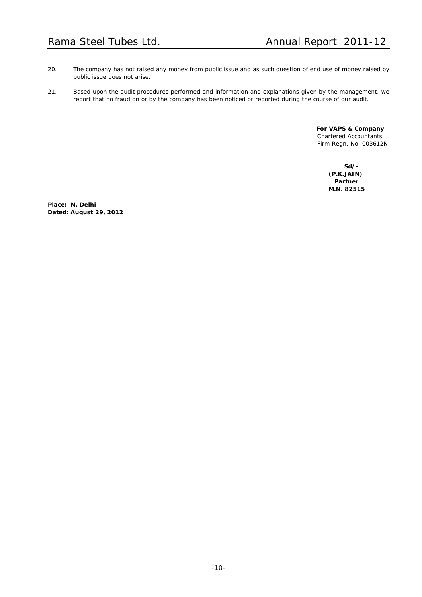- 20. The company has not raised any money from public issue and as such question of end use of money raised by public issue does not arise.
- 21. Based upon the audit procedures performed and information and explanations given by the management, we report that no fraud on or by the company has been noticed or reported during the course of our audit.

**For VAPS & Company** Chartered Accountants Firm Regn. No. 003612N

> **Sd/- (P.K.JAIN) Partner M.N. 82515**

**Place: N. Delhi Dated: August 29, 2012**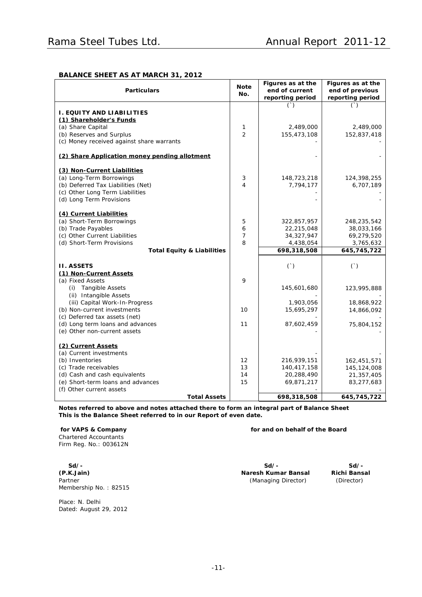### **BALANCE SHEET AS AT MARCH 31, 2012**

| <b>Particulars</b>                                            | <b>Note</b><br>No. | Figures as at the<br>end of current<br>reporting period | Figures as at the<br>end of previous<br>reporting period |
|---------------------------------------------------------------|--------------------|---------------------------------------------------------|----------------------------------------------------------|
|                                                               |                    | $($ )                                                   | $($ )                                                    |
| I. EQUITY AND LIABILITIES                                     |                    |                                                         |                                                          |
| (1) Shareholder's Funds                                       |                    |                                                         |                                                          |
| (a) Share Capital                                             | 1                  | 2,489,000                                               | 2,489,000                                                |
| (b) Reserves and Surplus                                      | $\overline{2}$     | 155,473,108                                             | 152,837,418                                              |
| (c) Money received against share warrants                     |                    |                                                         |                                                          |
| (2) Share Application money pending allotment                 |                    |                                                         |                                                          |
| (3) Non-Current Liabilities                                   |                    |                                                         |                                                          |
| (a) Long-Term Borrowings                                      | 3                  | 148,723,218                                             | 124,398,255                                              |
| (b) Deferred Tax Liabilities (Net)                            | 4                  | 7,794,177                                               | 6,707,189                                                |
| (c) Other Long Term Liabilities                               |                    |                                                         |                                                          |
| (d) Long Term Provisions                                      |                    |                                                         |                                                          |
| (4) Current Liabilities                                       |                    |                                                         |                                                          |
| (a) Short-Term Borrowings                                     | 5                  | 322,857,957                                             | 248,235,542                                              |
| (b) Trade Payables                                            | 6                  | 22,215,048                                              | 38,033,166                                               |
| (c) Other Current Liabilities                                 | $\overline{7}$     | 34,327,947                                              | 69,279,520                                               |
| (d) Short-Term Provisions                                     | 8                  | 4,438,054                                               | 3,765,632                                                |
| <b>Total Equity &amp; Liabilities</b>                         |                    | 698,318,508                                             | 645,745,722                                              |
|                                                               |                    |                                                         |                                                          |
| <b>II. ASSETS</b>                                             |                    | ( )                                                     | ( )                                                      |
| (1) Non-Current Assets                                        |                    |                                                         |                                                          |
| (a) Fixed Assets                                              | 9                  |                                                         |                                                          |
| (i) Tangible Assets                                           |                    | 145,601,680                                             | 123,995,888                                              |
| (ii) Intangible Assets                                        |                    |                                                         |                                                          |
| (iii) Capital Work-In-Progress                                |                    | 1,903,056                                               | 18,868,922                                               |
| (b) Non-current investments<br>(c) Deferred tax assets (net)  | 10                 | 15,695,297                                              | 14,866,092                                               |
| (d) Long term loans and advances                              | 11                 | 87,602,459                                              |                                                          |
| (e) Other non-current assets                                  |                    |                                                         | 75,804,152                                               |
|                                                               |                    |                                                         |                                                          |
| (2) Current Assets                                            |                    |                                                         |                                                          |
| (a) Current investments                                       |                    |                                                         |                                                          |
| (b) Inventories                                               | $12 \overline{ }$  | 216,939,151                                             | 162,451,571                                              |
| (c) Trade receivables                                         | 13                 | 140,417,158                                             | 145, 124, 008                                            |
| (d) Cash and cash equivalents                                 | 14                 | 20,288,490                                              | 21,357,405                                               |
| (e) Short-term loans and advances<br>(f) Other current assets | 15                 | 69,871,217                                              | 83,277,683                                               |
| <b>Total Assets</b>                                           |                    | 698,318,508                                             | 645,745,722                                              |

*Notes referred to above and notes attached there to form an integral part of Balance Sheet This is the Balance Sheet referred to in our Report of even date.*

*for VAPS & Company for and on behalf of the Board* Chartered Accountants Firm Reg. No.: 003612N

**Sd/- Sd/- Sd/- (P.K.Jain) Naresh Kumar Bansal Richi Bansal** Partner (Managing Director) (Director) (Director) Membership No. : 82515

Place: N. Delhi Dated: August 29, 2012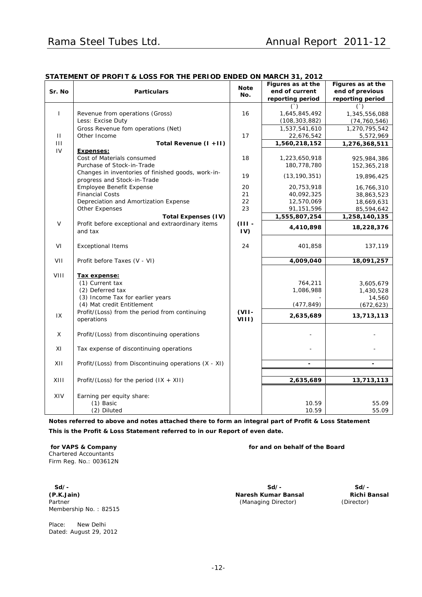|                | STATEMENT OF PROFIT & LOSS FOR THE PERTOD ENDED ON MARCH 3T, 2012 |             |                   |                   |
|----------------|-------------------------------------------------------------------|-------------|-------------------|-------------------|
|                |                                                                   | <b>Note</b> | Figures as at the | Figures as at the |
| Sr. No         | <b>Particulars</b>                                                | No.         | end of current    | end of previous   |
|                |                                                                   |             | reporting period  | reporting period  |
|                |                                                                   |             | $($ )             | $($ )             |
| $\mathbf{I}$   | Revenue from operations (Gross)                                   | 16          | 1,645,845,492     | 1,345,556,088     |
|                | Less: Excise Duty                                                 |             | (108, 303, 882)   | (74, 760, 546)    |
|                | Gross Revenue fom operations (Net)                                |             | 1,537,541,610     | 1,270,795,542     |
| $\mathbf{H}$   | Other Income                                                      | 17          | 22,676,542        | 5,572,969         |
| $\mathbf{III}$ | Total Revenue (I +11)                                             |             | 1,560,218,152     | 1,276,368,511     |
| IV             | <b>Expenses:</b>                                                  |             |                   |                   |
|                | Cost of Materials consumed                                        | 18          | 1,223,650,918     | 925,984,386       |
|                | Purchase of Stock-in-Trade                                        |             | 180,778,780       | 152,365,218       |
|                | Changes in inventories of finished goods, work-in-                |             |                   |                   |
|                | progress and Stock-in-Trade                                       | 19          | (13, 190, 351)    | 19,896,425        |
|                | Employee Benefit Expense                                          | 20          | 20,753,918        | 16,766,310        |
|                | <b>Financial Costs</b>                                            | 21          | 40,092,325        | 38,863,523        |
|                | Depreciation and Amortization Expense                             | 22          | 12,570,069        | 18,669,631        |
|                | Other Expenses                                                    | 23          | 91,151,596        | 85,594,642        |
|                | Total Expenses (IV)                                               |             | 1,555,807,254     | 1,258,140,135     |
| $\vee$         | Profit before exceptional and extraordinary items                 | $(III -$    |                   |                   |
|                |                                                                   |             | 4,410,898         | 18,228,376        |
|                | and tax                                                           | IV)         |                   |                   |
|                |                                                                   |             |                   |                   |
| VI             | <b>Exceptional Items</b>                                          | 24          | 401,858           | 137,119           |
|                |                                                                   |             |                   |                   |
| VII            | Profit before Taxes (V - VI)                                      |             | 4,009,040         | 18,091,257        |
|                |                                                                   |             |                   |                   |
| VIII           | Tax expense:                                                      |             |                   |                   |
|                | (1) Current tax                                                   |             | 764,211           | 3,605,679         |
|                | (2) Deferred tax                                                  |             | 1,086,988         | 1,430,528         |
|                | (3) Income Tax for earlier years                                  |             |                   | 14,560            |
|                | (4) Mat credit Entitlement                                        |             | (477, 849)        | (672, 623)        |
|                | Profit/(Loss) from the period from continuing                     | $(VII -$    |                   |                   |
| 1X             | operations                                                        | $VIII$ )    | 2,635,689         | 13,713,113        |
|                |                                                                   |             |                   |                   |
| $\mathsf X$    | Profit/(Loss) from discontinuing operations                       |             |                   |                   |
|                |                                                                   |             |                   |                   |
| XI             | Tax expense of discontinuing operations                           |             |                   |                   |
|                |                                                                   |             |                   |                   |
| XII            | Profit/(Loss) from Discontinuing operations (X - XI)              |             |                   |                   |
|                |                                                                   |             |                   |                   |
|                |                                                                   |             |                   |                   |
| XIII           | Profit/(Loss) for the period $(IX + XII)$                         |             | 2,635,689         | 13,713,113        |
|                |                                                                   |             |                   |                   |
| XIV            | Earning per equity share:                                         |             |                   |                   |
|                | (1) Basic                                                         |             | 10.59             | 55.09             |
|                | (2) Diluted                                                       |             | 10.59             | 55.09             |

### **STATEMENT OF PROFIT & LOSS FOR THE PERIOD ENDED ON MARCH 31, 2012**

Notes referred to above and notes attached there to form an integral part of Profit & Loss Statement *This is the Profit & Loss Statement referred to in our Report of even date.*

Chartered Accountants Firm Reg. No.: 003612N

**(P.K.Jain) Naresh Kumar Bansal Richi Bansal** Membership No. : 82515

Place: New Delhi Dated: August 29, 2012

*for VAPS & Company for and on behalf of the Board*

**Sd/- Sd/- Sd/-** (Managing Director)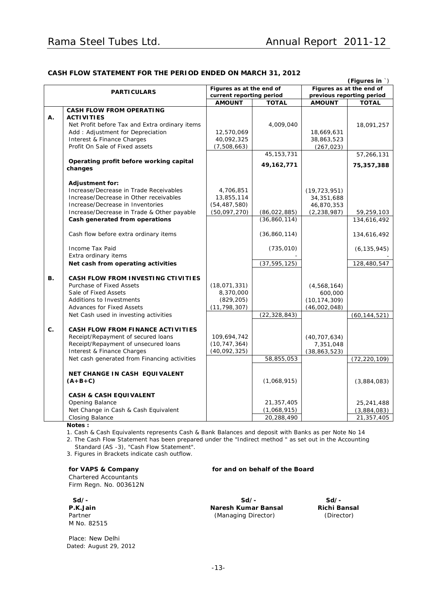### **CASH FLOW STATEMENT FOR THE PERIOD ENDED ON MARCH 31, 2012**

|    | (Figures in `)                                 |                          |                          |                |                           |  |
|----|------------------------------------------------|--------------------------|--------------------------|----------------|---------------------------|--|
|    | <b>PARTICULARS</b>                             |                          | Figures as at the end of |                | Figures as at the end of  |  |
|    |                                                | current reporting period |                          |                | previous reporting period |  |
|    |                                                | <b>AMOUNT</b>            | <b>TOTAL</b>             | <b>AMOUNT</b>  | <b>TOTAL</b>              |  |
|    | <b>CASH FLOW FROM OPERATING</b>                |                          |                          |                |                           |  |
| Α. | <b>ACTIVITIES</b>                              |                          |                          |                |                           |  |
|    | Net Profit before Tax and Extra ordinary items |                          | 4,009,040                |                | 18,091,257                |  |
|    | Add: Adjustment for Depreciation               | 12,570,069               |                          | 18,669,631     |                           |  |
|    | Interest & Finance Charges                     | 40,092,325               |                          | 38,863,523     |                           |  |
|    | Profit On Sale of Fixed assets                 | (7,508,663)              |                          | (267, 023)     |                           |  |
|    |                                                |                          | 45, 153, 731             |                | 57,266,131                |  |
|    | Operating profit before working capital        |                          | 49, 162, 771             |                | 75,357,388                |  |
|    | changes                                        |                          |                          |                |                           |  |
|    |                                                |                          |                          |                |                           |  |
|    | <b>Adjustment for:</b>                         |                          |                          |                |                           |  |
|    | Increase/Decrease in Trade Receivables         | 4,706,851                |                          | (19, 723, 951) |                           |  |
|    | Increase/Decrease in Other receivables         | 13,855,114               |                          | 34,351,688     |                           |  |
|    | Increase/Decrease in Inventories               | (54, 487, 580)           |                          | 46,870,353     |                           |  |
|    | Increase/Decrease in Trade & Other payable     | (50,097,270)             | (86, 022, 885)           | (2, 238, 987)  | 59,259,103                |  |
|    | Cash generated from operations                 |                          | (36, 860, 114)           |                | 134,616,492               |  |
|    |                                                |                          |                          |                |                           |  |
|    | Cash flow before extra ordinary items          |                          | (36, 860, 114)           |                | 134,616,492               |  |
|    |                                                |                          |                          |                |                           |  |
|    | Income Tax Paid                                |                          | (735, 010)               |                | (6, 135, 945)             |  |
|    | Extra ordinary items                           |                          |                          |                |                           |  |
|    | Net cash from operating activities             |                          | (37, 595, 125)           |                | 128,480,547               |  |
|    |                                                |                          |                          |                |                           |  |
| В. | CASH FLOW FROM INVESTING CTIVITIES             |                          |                          |                |                           |  |
|    | Purchase of Fixed Assets                       | (18,071,331)             |                          | (4,568,164)    |                           |  |
|    | Sale of Fixed Assets                           | 8,370,000                |                          | 600,000        |                           |  |
|    | Additions to Investments                       | (829, 205)               |                          | (10, 174, 309) |                           |  |
|    | <b>Advances for Fixed Assets</b>               | (11, 798, 307)           |                          | (46,002,048)   |                           |  |
|    | Net Cash used in investing activities          |                          | (22, 328, 843)           |                | (60, 144, 521)            |  |
|    |                                                |                          |                          |                |                           |  |
| C. | <b>CASH FLOW FROM FINANCE ACTIVITIES</b>       |                          |                          |                |                           |  |
|    | Receipt/Repayment of secured loans             | 109,694,742              |                          | (40, 707, 634) |                           |  |
|    | Receipt/Repayment of unsecured loans           | (10, 747, 364)           |                          | 7,351,048      |                           |  |
|    | Interest & Finance Charges                     | (40,092,325)             |                          | (38, 863, 523) |                           |  |
|    | Net cash generated from Financing activities   |                          | 58,855,053               |                | (72, 220, 109)            |  |
|    |                                                |                          |                          |                |                           |  |
|    | NET CHANGE IN CASH EQUIVALENT                  |                          |                          |                |                           |  |
|    | $(A+B+C)$                                      |                          | (1,068,915)              |                | (3,884,083)               |  |
|    |                                                |                          |                          |                |                           |  |
|    | <b>CASH &amp; CASH EQUIVALENT</b>              |                          |                          |                |                           |  |
|    | Opening Balance                                |                          | 21,357,405               |                | 25,241,488                |  |
|    | Net Change in Cash & Cash Equivalent           |                          | (1,068,915)              |                | (3,884,083)               |  |
|    | Closing Balance                                |                          | 20,288,490               |                | 21,357,405                |  |
|    | Notes:                                         |                          |                          |                |                           |  |

1. Cash & Cash Equivalents represents Cash & Bank Balances and deposit with Banks as per Note No 14

2. The Cash Flow Statement has been prepared under the "Indirect method " as set out in the Accounting Standard (AS -3), "Cash Flow Statement".

3. Figures in Brackets indicate cash outflow.

Chartered Accountants Firm Regn. No. 003612N

M No. 82515

Place: New Delhi Dated: August 29, 2012

### *for VAPS & Company for and on behalf of the Board*

**Sd/- Sd/- Sd/- P.K.Jain Naresh Kumar Bansal Richi Bansal** Partner (Managing Director) (Director)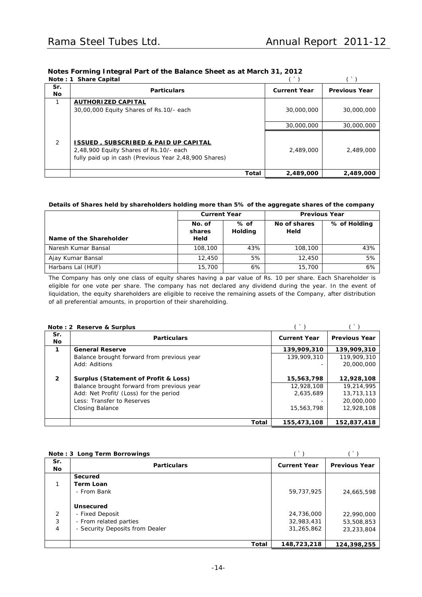| Notes Forming Integral Part of the Balance Sheet as at March 31, 2012 |  |  |  |
|-----------------------------------------------------------------------|--|--|--|
|                                                                       |  |  |  |
|                                                                       |  |  |  |

|                  | Note: 1 Share Capital                                                                                                                              |       |                     |                      |
|------------------|----------------------------------------------------------------------------------------------------------------------------------------------------|-------|---------------------|----------------------|
| Sr.<br><b>No</b> | <b>Particulars</b>                                                                                                                                 |       | <b>Current Year</b> | <b>Previous Year</b> |
|                  | <b>AUTHORIZED CAPITAL</b><br>30,00,000 Equity Shares of Rs.10/- each                                                                               |       | 30,000,000          | 30,000,000           |
|                  |                                                                                                                                                    |       | 30,000,000          | 30,000,000           |
| 2                | <b>ISSUED, SUBSCRIBED &amp; PAID UP CAPITAL</b><br>2,48,900 Equity Shares of Rs.10/- each<br>fully paid up in cash (Previous Year 2,48,900 Shares) |       | 2,489,000           | 2,489,000            |
|                  |                                                                                                                                                    | Total | 2,489,000           | 2,489,000            |

### **Details of Shares held by shareholders holding more than 5% of the aggregate shares of the company**

|                         | <b>Current Year</b>      |                 | <b>Previous Year</b> |              |  |
|-------------------------|--------------------------|-----------------|----------------------|--------------|--|
| Name of the Shareholder | No. of<br>shares<br>Held | % of<br>Holding | No of shares<br>Held | % of Holding |  |
| Naresh Kumar Bansal     | 108,100                  | 43%             | 108,100              | 43%          |  |
| Ajay Kumar Bansal       | 12,450                   | 5%              | 12,450               | 5%           |  |
| Harbans Lal (HUF)       | 15,700                   | 6%              | 15,700               | 6%           |  |

The Company has only one class of equity shares having a par value of Rs. 10 per share. Each Shareholder is eligible for one vote per share. The company has not declared any dividend during the year. In the event of liquidation, the equity shareholders are eligible to receive the remaining assets of the Company, after distribution of all preferential amounts, in proportion of their shareholding.

|                  | Note: 2 Reserve & Surplus                  |                     |                      |
|------------------|--------------------------------------------|---------------------|----------------------|
| Sr.<br><b>No</b> | <b>Particulars</b>                         | <b>Current Year</b> | <b>Previous Year</b> |
| 1                | <b>General Reserve</b>                     | 139,909,310         | 139.909.310          |
|                  | Balance brought forward from previous year | 139,909,310         | 119,909,310          |
|                  | Add: Aditions                              |                     | 20,000,000           |
|                  |                                            |                     |                      |
| $\overline{2}$   | Surplus (Statement of Profit & Loss)       | 15,563,798          | 12,928,108           |
|                  | Balance brought forward from previous year | 12,928,108          | 19,214,995           |
|                  | Add: Net Profit/ (Loss) for the period     | 2.635.689           | 13,713,113           |
|                  | Less: Transfer to Reserves                 |                     | 20,000,000           |
|                  | Closing Balance                            | 15,563,798          | 12,928,108           |
|                  |                                            |                     |                      |
|                  | Total                                      | 155,473,108         | 152,837,418          |

|                  | Note: 3 Long Term Borrowings    |                     |                      |
|------------------|---------------------------------|---------------------|----------------------|
| Sr.<br><b>No</b> | <b>Particulars</b>              | <b>Current Year</b> | <b>Previous Year</b> |
|                  | Secured                         |                     |                      |
|                  | Term Loan                       |                     |                      |
|                  | - From Bank                     | 59,737,925          | 24,665,598           |
|                  |                                 |                     |                      |
|                  | Unsecured                       |                     |                      |
| 2                | - Fixed Deposit                 | 24,736,000          | 22,990,000           |
| 3                | - From related parties          | 32,983,431          | 53,508,853           |
| 4                | - Security Deposits from Dealer | 31,265,862          | 23,233,804           |
|                  |                                 |                     |                      |
|                  | <b>Total</b>                    | 148,723,218         | 124,398,255          |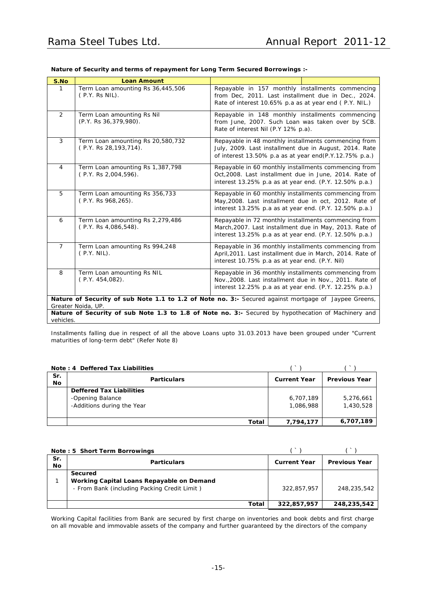| S.No           | <b>Loan Amount</b>                                           |                                                                                                                                                                           |  |  |  |
|----------------|--------------------------------------------------------------|---------------------------------------------------------------------------------------------------------------------------------------------------------------------------|--|--|--|
| 1              | Term Loan amounting Rs 36,445,506<br>(P.Y. Rs NIL).          | Repayable in 157 monthly installments commencing<br>from Dec, 2011. Last installment due in Dec., 2024.<br>Rate of interest 10.65% p.a as at year end (P.Y. NIL.)         |  |  |  |
| 2              | Term Loan amounting Rs Nil<br>(P.Y. Rs 36, 379, 980).        | Repayable in 148 monthly installments commencing<br>from June, 2007. Such Loan was taken over by SCB.<br>Rate of interest Nil (P.Y 12% p.a).                              |  |  |  |
| 3              | Term Loan amounting Rs 20,580,732<br>(P.Y. Rs 28, 193, 714). | Repayable in 48 monthly installments commencing from<br>July, 2009. Last installment due in August, 2014. Rate<br>of interest 13.50% p.a as at year end(P.Y.12.75% p.a.)  |  |  |  |
| $\overline{4}$ | Term Loan amounting Rs 1,387,798<br>(P.Y. Rs 2,004,596).     | Repayable in 60 monthly installments commencing from<br>Oct, 2008. Last installment due in June, 2014. Rate of<br>interest 13.25% p.a as at year end. (P.Y. 12.50% p.a.)  |  |  |  |
| 5              | Term Loan amounting Rs 356,733<br>(P.Y. Rs 968, 265).        | Repayable in 60 monthly installments commencing from<br>May, 2008. Last installment due in oct, 2012. Rate of<br>interest 13.25% p.a as at year end. (P.Y. 12.50% p.a.)   |  |  |  |
| 6              | Term Loan amounting Rs 2,279,486<br>(P.Y. Rs 4,086,548).     | Repayable in 72 monthly installments commencing from<br>March, 2007. Last installment due in May, 2013. Rate of<br>interest 13.25% p.a as at year end. (P.Y. 12.50% p.a.) |  |  |  |
| $\overline{7}$ | Term Loan amounting Rs 994,248<br>$(P.Y. \nNIL).$            | Repayable in 36 monthly installments commencing from<br>April, 2011. Last installment due in March, 2014. Rate of<br>interest 10.75% p.a as at year end. (P.Y. Nil)       |  |  |  |
| 8              | Term Loan amounting Rs NIL<br>$(P.Y. 454.082)$ .             | Repayable in 36 monthly installments commencing from<br>Nov., 2008. Last installment due in Nov., 2011. Rate of<br>interest 12.25% p.a as at year end. (P.Y. 12.25% p.a.) |  |  |  |
|                | Greater Noida, UP.                                           | Nature of Security of sub Note 1.1 to 1.2 of Note no. 3:- Secured against mortgage of Jaypee Greens,                                                                      |  |  |  |
|                |                                                              | Nature of Security of sub Note 1.3 to 1.8 of Note no. 3:- Secured by hypothecation of Machinery and                                                                       |  |  |  |
| vehicles.      |                                                              |                                                                                                                                                                           |  |  |  |

### **Nature of Security and terms of repayment for Long Term Secured Borrowings :-**

Installments falling due in respect of all the above Loans upto 31.03.2013 have been grouped under "Current maturities of long-term debt" (Refer Note 8)

|                  | Note: 4 Deffered Tax Liabilities                                                  |                        |                        |
|------------------|-----------------------------------------------------------------------------------|------------------------|------------------------|
| Sr.<br><b>No</b> | <b>Particulars</b>                                                                | <b>Current Year</b>    | <b>Previous Year</b>   |
|                  | <b>Deffered Tax Liabilities</b><br>-Opening Balance<br>-Additions during the Year | 6,707,189<br>1,086,988 | 5,276,661<br>1,430,528 |
|                  | Total                                                                             | 7,794,177              | 6,707,189              |

|           | Note: 5 Short Term Borrowings                                                                        |                     |                      |  |
|-----------|------------------------------------------------------------------------------------------------------|---------------------|----------------------|--|
| Sr.<br>No | <b>Particulars</b>                                                                                   | <b>Current Year</b> | <b>Previous Year</b> |  |
|           | Secured<br>Working Capital Loans Repayable on Demand<br>- From Bank (including Packing Credit Limit) | 322,857,957         | 248,235,542          |  |
|           | Total                                                                                                | 322,857,957         | 248,235,542          |  |

Working Capital facilities from Bank are secured by first charge on inventories and book debts and first charge on all movable and immovable assets of the company and further guaranteed by the directors of the company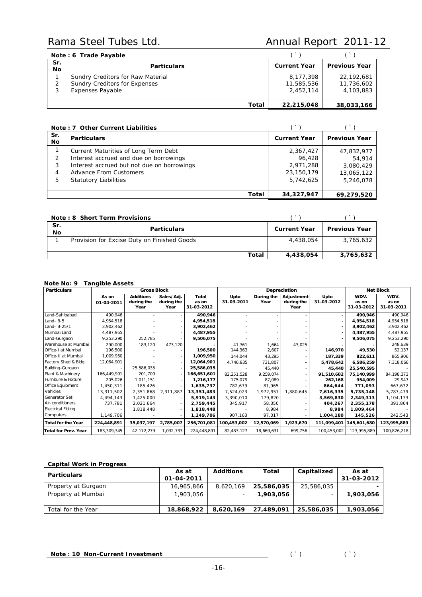|            | Note: 6 Trade Payable                |                     |                      |
|------------|--------------------------------------|---------------------|----------------------|
| Sr.<br>No. | <b>Particulars</b>                   | <b>Current Year</b> | <b>Previous Year</b> |
|            | Sundry Creditors for Raw Material    | 8.177.398           | 22.192.681           |
| 2          | <b>Sundry Creditors for Expenses</b> | 11,585,536          | 11,736,602           |
| 3          | <b>Expenses Payable</b>              | 2.452.114           | 4.103.883            |
|            |                                      |                     |                      |
|            | Total                                | 22,215,048          | 38,033,166           |

|                  | Note: 7 Other Current Liabilities          |                     |                      |
|------------------|--------------------------------------------|---------------------|----------------------|
| Sr.<br><b>No</b> | <b>Particulars</b>                         | <b>Current Year</b> | <b>Previous Year</b> |
|                  | Current Maturities of Long Term Debt       | 2,367,427           | 47,832,977           |
| 2                | Interest accrued and due on borrowings     | 96.428              | 54,914               |
| 3                | Interest accrued but not due on borrowings | 2,971,288           | 3,080,429            |
| 4                | Advance From Customers                     | 23,150,179          | 13,065,122           |
| 5                | <b>Statutory Liabilities</b>               | 5,742,625           | 5,246,078            |
|                  |                                            |                     |                      |
|                  | Total                                      | 34,327,947          | 69.279.520           |

|                  | Note: 8 Short Term Provisions               |                     |                      |
|------------------|---------------------------------------------|---------------------|----------------------|
| Sr.<br><b>No</b> | <b>Particulars</b>                          | <b>Current Year</b> | <b>Previous Year</b> |
|                  | Provision for Excise Duty on Finished Goods | 4,438,054           | 3.765.632            |
|                  | Total                                       | 4,438,054           | 3,765,632            |

### *Note No: 9 Tangible Assets*

| <b>Particulars</b>          |                     | <b>Gross Block</b>                     |                                  |                              |                    |                    | Depreciation                     |                    |                             | <b>Net Block</b>            |
|-----------------------------|---------------------|----------------------------------------|----------------------------------|------------------------------|--------------------|--------------------|----------------------------------|--------------------|-----------------------------|-----------------------------|
|                             | As on<br>01-04-2011 | <b>Additions</b><br>during the<br>Year | Sales/Adj.<br>during the<br>Year | Total<br>as on<br>31-03-2012 | Upto<br>31-03-2011 | During the<br>Year | Adjustment<br>during the<br>Year | Upto<br>31-03-2012 | WDV.<br>as on<br>31-03-2012 | WDV.<br>as on<br>31-03-2011 |
| Land-Sahibabad              | 490,946             |                                        |                                  | 490,946                      |                    |                    |                                  |                    | 490,946                     | 490,946                     |
| Land-B-5                    | 4,954,518           |                                        |                                  | 4,954,518                    |                    |                    |                                  |                    | 4,954,518                   | 4,954,518                   |
| Land- B-25/1                | 3,902,462           |                                        |                                  | 3,902,462                    |                    |                    |                                  |                    | 3,902,462                   | 3,902,462                   |
| Mumbai Land                 | 4,487,955           |                                        |                                  | 4,487,955                    |                    |                    |                                  |                    | 4,487,955                   | 4,487,955                   |
| Land-Gurgaon                | 9,253,290           | 252,785                                |                                  | 9,506,075                    |                    |                    |                                  |                    | 9,506,075                   | 9,253,290                   |
| Warehouse at Mumbai         | 290,000             | 183,120                                | 473,120                          |                              | 41,361             | 1,664              | 43,025                           |                    |                             | 248,639                     |
| Office-I at Mumbai          | 196,500             |                                        |                                  | 196,500                      | 144,363            | 2,607              |                                  | 146,970            | 49,530                      | 52,137                      |
| Office-II at Mumbai         | 1,009,950           |                                        |                                  | 1,009,950                    | 144,044            | 43,295             |                                  | 187,339            | 822,611                     | 865,906                     |
| Factory Shed & Bldg.        | 12,064,901          |                                        |                                  | 12,064,901                   | 4,746,835          | 731,807            |                                  | 5,478,642          | 6,586,259                   | 7,318,066                   |
| Building-Gurgaon            |                     | 25,586,035                             |                                  | 25,586,035                   |                    | 45,440             |                                  | 45,440             | 25,540,595                  |                             |
| Plant & Machinery           | 166,449,901         | 201,700                                |                                  | 166,651,601                  | 82,251,528         | 9,259,074          |                                  | 91,510,602         | 75,140,999                  | 84,198,373                  |
| Furniture & Fixture         | 205,026             | 1,011,151                              |                                  | 1,216,177                    | 175,079            | 87,089             |                                  | 262,168            | 954,009                     | 29,947                      |
| Office Equipment            | 1,450,311           | 185,426                                |                                  | 1,635,737                    | 782,679            | 81,965             |                                  | 864,644            | 771.093                     | 667,632                     |
| Vehicles                    | 13,311,502          | 2,351,868                              | 2,311,887                        | 13,351,483                   | 7,524,023          | 1,972,957          | 1,880,645                        | 7,616,335          | 5,735,148                   | 5,787,479                   |
| Generator Set               | 4.494.143           | 1,425,000                              |                                  | 5,919,143                    | 3,390,010          | 179.820            |                                  | 3,569,830          | 2,349,313                   | 1,104,133                   |
| Air-conditioners            | 737,781             | 2,021,664                              |                                  | 2,759,445                    | 345,917            | 58,350             |                                  | 404,267            | 2,355,178                   | 391,864                     |
| <b>Electrical Fitting</b>   |                     | 1,818,448                              |                                  | 1,818,448                    |                    | 8,984              |                                  | 8,984              | 1,809,464                   |                             |
| Computers                   | 1,149,706           |                                        |                                  | 1,149,706                    | 907,163            | 97,017             |                                  | 1,004,180          | 145,526                     | 242,543                     |
| <b>Total for the Year</b>   | 224,448,891         | 35,037,197                             | 2,785,007                        | 256,701,081                  | 100,453,002        | 12,570,069         | 1,923,670                        |                    | 111,099,401 145,601,680     | 123,995,889                 |
| <b>Total for Prev. Year</b> | 183,309,345         | 42, 172, 279                           | 1,032,733                        | 224,448,891                  | 82,483,127         | 18,669,631         | 699,756                          | 100,453,002        | 123,995,889                 | 100,826,218                 |

### **Capital Work in Progress**

| <b>Particulars</b>  | As at      | <b>Additions</b> | Total      | Capitalized | As at      |
|---------------------|------------|------------------|------------|-------------|------------|
|                     | 01-04-2011 |                  |            |             | 31-03-2012 |
| Property at Gurgaon | 16,965,866 | 8,620,169        | 25,586,035 | 25,586,035  |            |
| Property at Mumbai  | 1,903,056  | -                | 1,903,056  |             | 1,903,056  |
|                     |            |                  |            |             |            |
| Total for the Year  | 18,868,922 | 8,620,169        | 27,489,091 | 25,586,035  | 1,903,056  |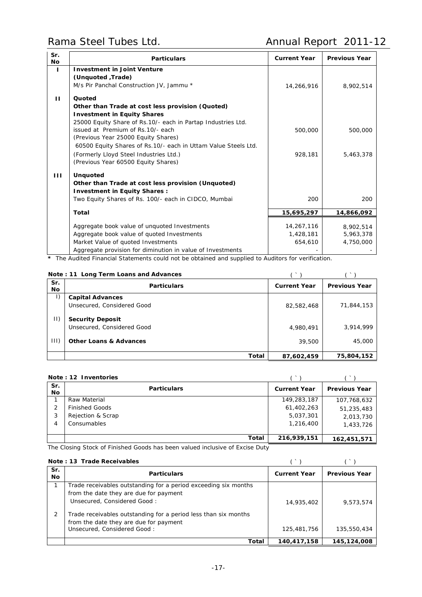| Sr.<br>Νo    | <b>Particulars</b>                                                               | <b>Current Year</b>  | <b>Previous Year</b>   |
|--------------|----------------------------------------------------------------------------------|----------------------|------------------------|
| L            | <b>Investment in Joint Venture</b>                                               |                      |                        |
|              | (Unquoted, Trade)                                                                |                      |                        |
|              | M/s Pir Panchal Construction JV, Jammu *                                         | 14,266,916           | 8,902,514              |
| ш            | Quoted                                                                           |                      |                        |
|              | Other than Trade at cost less provision (Quoted)                                 |                      |                        |
|              | <b>Investment in Equity Shares</b>                                               |                      |                        |
|              | 25000 Equity Share of Rs.10/- each in Partap Industries Ltd.                     |                      |                        |
|              | issued at Premium of Rs.10/- each                                                | 500,000              | 500,000                |
|              | (Previous Year 25000 Equity Shares)                                              |                      |                        |
|              | 60500 Equity Shares of Rs.10/- each in Uttam Value Steels Ltd.                   |                      |                        |
|              | (Formerly Lloyd Steel Industries Ltd.)                                           | 928,181              | 5,463,378              |
|              | (Previous Year 60500 Equity Shares)                                              |                      |                        |
| $\mathbf{H}$ | <b>Unquoted</b>                                                                  |                      |                        |
|              | Other than Trade at cost less provision (Unquoted)                               |                      |                        |
|              | <b>Investment in Equity Shares:</b>                                              |                      |                        |
|              | Two Equity Shares of Rs. 100/- each in CIDCO, Mumbai                             | 200                  | 200                    |
|              | Total                                                                            | 15,695,297           | 14,866,092             |
|              |                                                                                  |                      |                        |
|              | Aggregate book value of unquoted Investments                                     | 14,267,116           | 8,902,514<br>5,963,378 |
|              | Aggregate book value of quoted Investments<br>Market Value of quoted Investments | 1,428,181<br>654,610 | 4,750,000              |
|              | Aggregate provision for diminution in value of Investments                       |                      |                        |
|              |                                                                                  |                      |                        |

**\*** The Audited Financial Statements could not be obtained and supplied to Auditors for verification.

|  |  | Note: 11 Long Term Loans and Advances |
|--|--|---------------------------------------|
|--|--|---------------------------------------|

|              | Note: 11 Long Term Loans and Advances |                     |                      |
|--------------|---------------------------------------|---------------------|----------------------|
| Sr.<br>No.   | <b>Particulars</b>                    | <b>Current Year</b> | <b>Previous Year</b> |
| $\vert$ )    | <b>Capital Advances</b>               |                     |                      |
|              | Unsecured, Considered Good            | 82,582,468          | 71,844,153           |
| $  \,   \,$  | <b>Security Deposit</b>               |                     |                      |
|              | Unsecured, Considered Good            | 4,980,491           | 3,914,999            |
| $ 11\rangle$ | <b>Other Loans &amp; Advances</b>     | 39,500              | 45,000               |
|              | Total                                 | 87,602,459          | 75,804,152           |

### *Note : 12 Inventories* ( ` ) ( ` )

| Sr.<br>Νo | <b>Particulars</b>    | <b>Current Year</b> | <b>Previous Year</b> |
|-----------|-----------------------|---------------------|----------------------|
|           | Raw Material          | 149,283,187         | 107,768,632          |
| 2         | <b>Finished Goods</b> | 61,402,263          | 51,235,483           |
| 3         | Rejection & Scrap     | 5,037,301           | 2,013,730            |
| 4         | Consumables           | 1,216,400           | 1,433,726            |
|           |                       |                     |                      |
|           | Total                 | 216,939,151         | 162,451,571          |

The Closing Stock of Finished Goods has been valued inclusive of Excise Duty

### *Note : 13 Trade Receivables* ( ` ) ( ` )

| Sr.<br>No. | <b>Particulars</b>                                                                                                                       | <b>Current Year</b> | <b>Previous Year</b> |
|------------|------------------------------------------------------------------------------------------------------------------------------------------|---------------------|----------------------|
|            | Trade receivables outstanding for a period exceeding six months<br>from the date they are due for payment<br>Unsecured, Considered Good: | 14,935,402          | 9,573,574            |
|            | Trade receivables outstanding for a period less than six months<br>from the date they are due for payment<br>Unsecured, Considered Good: | 125,481,756         | 135,550,434          |
|            | Total                                                                                                                                    | 140.417.158         | 145.124.008          |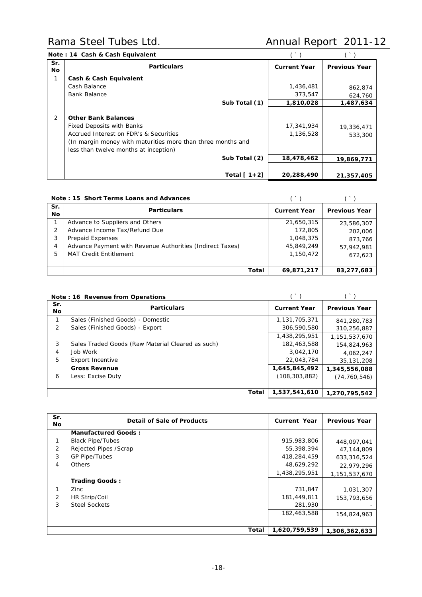|  |  | Note: 14 Cash & Cash Equivalent |
|--|--|---------------------------------|
|--|--|---------------------------------|

|                  | Note: 14 Cash & Cash Equivalent                                                                                                                                                                                                   |                                       |                                     |
|------------------|-----------------------------------------------------------------------------------------------------------------------------------------------------------------------------------------------------------------------------------|---------------------------------------|-------------------------------------|
| Sr.<br><b>No</b> | <b>Particulars</b>                                                                                                                                                                                                                | <b>Current Year</b>                   | <b>Previous Year</b>                |
|                  | Cash & Cash Equivalent                                                                                                                                                                                                            |                                       |                                     |
|                  | Cash Balance                                                                                                                                                                                                                      | 1,436,481                             | 862,874                             |
|                  | <b>Bank Balance</b>                                                                                                                                                                                                               | 373,547                               | 624,760                             |
|                  | Sub Total (1)                                                                                                                                                                                                                     | 1,810,028                             | 1,487,634                           |
| 2                | <b>Other Bank Balances</b><br><b>Fixed Deposits with Banks</b><br>Accrued Interest on FDR's & Securities<br>(In margin money with maturities more than three months and<br>less than twelve months at inception)<br>Sub Total (2) | 17,341,934<br>1,136,528<br>18,478,462 | 19,336,471<br>533,300<br>19,869,771 |
|                  |                                                                                                                                                                                                                                   |                                       |                                     |
|                  | Total $[1+2]$                                                                                                                                                                                                                     | 20,288,490                            | 21,357,405                          |

|                  | Note: 15 Short Terms Loans and Advances                   |                     |                      |
|------------------|-----------------------------------------------------------|---------------------|----------------------|
| Sr.<br><b>No</b> | <b>Particulars</b>                                        | <b>Current Year</b> | <b>Previous Year</b> |
|                  | Advance to Suppliers and Others                           | 21,650,315          | 23,586,307           |
| 2                | Advance Income Tax/Refund Due                             | 172,805             | 202,006              |
| 3                | Prepaid Expenses                                          | 1,048,375           | 873.766              |
| 4                | Advance Payment with Revenue Authorities (Indirect Taxes) | 45,849,249          | 57,942,981           |
| 5                | <b>MAT Credit Entitlement</b>                             | 1,150,472           | 672.623              |
|                  |                                                           |                     |                      |
|                  | Total                                                     | 69,871,217          | 83,277,683           |

|                | Note: 16 Revenue from Operations                  |                     |                      |
|----------------|---------------------------------------------------|---------------------|----------------------|
| Sr.<br>No.     | <b>Particulars</b>                                | <b>Current Year</b> | <b>Previous Year</b> |
|                | Sales (Finished Goods) - Domestic                 | 1.131.705.371       | 841.280.783          |
| $\overline{2}$ | Sales (Finished Goods) - Export                   | 306,590,580         | 310,256,887          |
|                |                                                   | 1,438,295,951       | 1.151.537.670        |
| 3              | Sales Traded Goods (Raw Material Cleared as such) | 182,463,588         | 154,824,963          |
| 4              | Job Work                                          | 3,042,170           | 4,062,247            |
| 5              | <b>Export Incentive</b>                           | 22,043,784          | 35,131,208           |
|                | <b>Gross Revenue</b>                              | 1,645,845,492       | 1,345,556,088        |
| 6              | Less: Excise Duty                                 | (108, 303, 882)     | (74, 760, 546)       |
|                |                                                   |                     |                      |
|                | Total                                             | 1,537,541,610       | 1,270,795,542        |

| Sr.<br>No.     | Detail of Sale of Products | Current Year  | <b>Previous Year</b> |
|----------------|----------------------------|---------------|----------------------|
|                | <b>Manufactured Goods:</b> |               |                      |
| 1              | <b>Black Pipe/Tubes</b>    | 915,983,806   | 448,097,041          |
| 2              | Rejected Pipes /Scrap      | 55,398,394    | 47,144,809           |
| 3              | <b>GP Pipe/Tubes</b>       | 418,284,459   | 633,316,524          |
| $\overline{4}$ | Others                     | 48,629,292    | 22,979,296           |
|                |                            | 1,438,295,951 | 1,151,537,670        |
|                | <b>Trading Goods:</b>      |               |                      |
| 1              | Zinc                       | 731,847       | 1,031,307            |
| 2              | HR Strip/Coil              | 181,449,811   | 153,793,656          |
| 3              | <b>Steel Sockets</b>       | 281,930       |                      |
|                |                            | 182,463,588   | 154,824,963          |
|                |                            |               |                      |
|                | Total                      | 1,620,759,539 | 1,306,362,633        |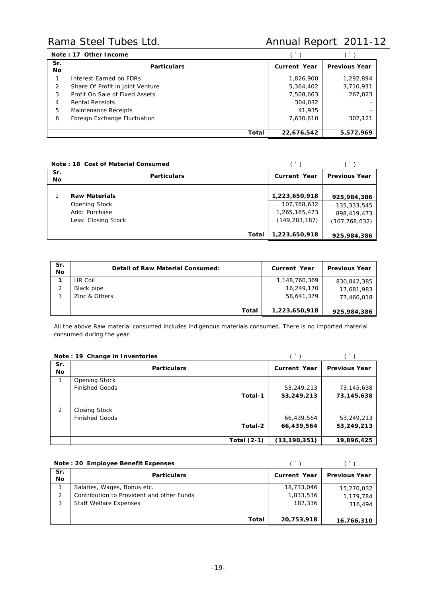| Note: 17 Other Income |                                  |                     |                      |
|-----------------------|----------------------------------|---------------------|----------------------|
| Sr.<br><b>No</b>      | <b>Particulars</b>               | <b>Current Year</b> | <b>Previous Year</b> |
|                       | Interest Earned on FDRs          | 1,826,900           | 1,292,894            |
| 2                     | Share Of Profit in joint Venture | 5,364,402           | 3,710,931            |
| 3                     | Profit On Sale of Fixed Assets   | 7,508,663           | 267,023              |
| 4                     | <b>Rental Receipts</b>           | 304,032             |                      |
| 5                     | Maintenance Receipts             | 41,935              |                      |
| 6                     | Foreign Exchange Fluctuation     | 7.630.610           | 302.121              |
|                       |                                  |                     |                      |
|                       | <b>Total</b>                     | 22,676,542          | 5,572,969            |

| Note: 18 Cost of Material Consumed |                                                              |                                                 |                                               |
|------------------------------------|--------------------------------------------------------------|-------------------------------------------------|-----------------------------------------------|
| Sr.<br>No.                         | <b>Particulars</b>                                           | <b>Current Year</b>                             | <b>Previous Year</b>                          |
|                                    | <b>Raw Materials</b>                                         | 1,223,650,918                                   | 925,984,386                                   |
|                                    | <b>Opening Stock</b><br>Add: Purchase<br>Less: Closing Stock | 107,768,632<br>1,265,165,473<br>(149, 283, 187) | 135,333,545<br>898,419,473<br>(107, 768, 632) |
|                                    | Total                                                        | 1,223,650,918                                   | 925,984,386                                   |

| Sr.<br><b>No</b> | Detail of Raw Material Consumed:       | <b>Current Year</b>                       | <b>Previous Year</b>      |
|------------------|----------------------------------------|-------------------------------------------|---------------------------|
| 2<br>3           | HR Coil<br>Black pipe<br>Zinc & Others | 1,148,760,369<br>16,249,170<br>58,641,379 | 830,842,385<br>17,681,983 |
|                  | Total                                  | 1,223,650,918                             | 77,460,018<br>925,984,386 |

All the above Raw material consumed includes indigenous materials consumed. There is no imported material consumed during the year.

|                  | Note: 19 Change in Inventories | $($ $\rightarrow$ $)$ |                      |
|------------------|--------------------------------|-----------------------|----------------------|
| Sr.<br><b>No</b> | <b>Particulars</b>             | <b>Current Year</b>   | <b>Previous Year</b> |
|                  | <b>Opening Stock</b>           |                       |                      |
|                  | <b>Finished Goods</b>          | 53,249,213            | 73,145,638           |
|                  | Total-1                        | 53,249,213            | 73,145,638           |
| 2                | Closing Stock                  |                       |                      |
|                  | <b>Finished Goods</b>          | 66,439,564            | 53,249,213           |
|                  | Total-2                        | 66,439,564            | 53,249,213           |
|                  | Total $(2-1)$                  | (13, 190, 351)        | 19,896,425           |

|            | Note: 20 Employee Benefit Expenses        |              |                      |
|------------|-------------------------------------------|--------------|----------------------|
| Sr.<br>No. | <b>Particulars</b>                        | Current Year | <b>Previous Year</b> |
|            | Salaries, Wages, Bonus etc.               | 18,733,046   | 15,270,032           |
| 2          | Contribution to Provident and other Funds | 1,833,536    | 1,179,784            |
| 3          | <b>Staff Welfare Expenses</b>             | 187,336      | 316,494              |
|            |                                           |              |                      |
|            | <b>Total</b>                              | 20,753,918   | 16,766,310           |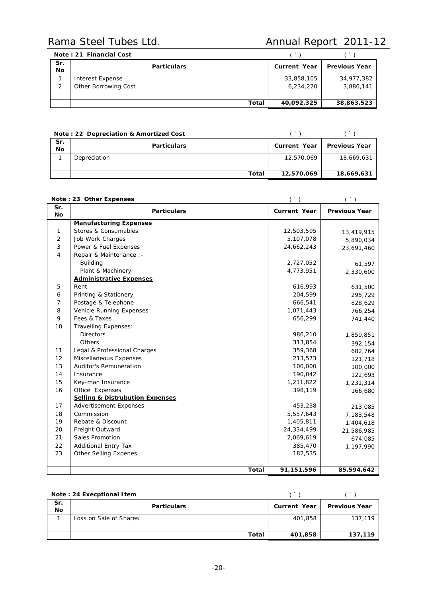|                  | Note: 21 Financial Cost |                     |                      |
|------------------|-------------------------|---------------------|----------------------|
| Sr.<br><b>No</b> | <b>Particulars</b>      | <b>Current Year</b> | <b>Previous Year</b> |
|                  | Interest Expense        | 33,858,105          | 34,977,382           |
| 2                | Other Borrowing Cost    | 6,234,220           | 3,886,141            |
|                  | Total                   | 40,092,325          | 38,863,523           |

|                  | Note: 22 Depreciation & Amortized Cost |                     |                      |
|------------------|----------------------------------------|---------------------|----------------------|
| Sr.<br><b>No</b> | <b>Particulars</b>                     | <b>Current Year</b> | <b>Previous Year</b> |
|                  | Depreciation                           | 12,570,069          | 18,669,631           |
|                  | Total                                  | 12,570,069          | 18,669,631           |

|                | $($ )<br>Note: 23 Other Expenses           |                     | $($ )                |
|----------------|--------------------------------------------|---------------------|----------------------|
| Sr.<br>No      | <b>Particulars</b>                         | <b>Current Year</b> | <b>Previous Year</b> |
|                | <b>Manufacturing Expenses</b>              |                     |                      |
| 1              | Stores & Consumables                       | 12,503,595          | 13,419,915           |
| 2              | Job Work Charges                           | 5,107,078           | 5,890,034            |
| 3              | Power & Fuel Expenses                      | 24,662,243          | 23,691,460           |
| $\overline{4}$ | Repair & Maintenance :-                    |                     |                      |
|                | <b>Building</b>                            | 2,727,052           | 61,597               |
|                | Plant & Machinery                          | 4,773,951           | 2,330,600            |
|                | <b>Administrative Expenses</b>             |                     |                      |
| 5              | Rent                                       | 616,993             | 631,500              |
| 6              | Printing & Stationery                      | 204,599             | 295,729              |
| 7              | Postage & Telephone                        | 666,541             | 828,629              |
| 8              | Vehicle Running Expenses                   | 1,071,443           | 766,254              |
| 9              | Fees & Taxes                               | 656,299             | 741,440              |
| 10             | Travelling Expenses:                       |                     |                      |
|                | <b>Directors</b>                           | 986,210             | 1,859,851            |
|                | Others                                     | 313,854             | 392,154              |
| 11             | Legal & Professional Charges               | 359,368             | 682,764              |
| 12             | Miscellaneous Expenses                     | 213,573             | 121,718              |
| 13             | <b>Auditor's Remuneration</b>              | 100,000             | 100,000              |
| 14             | Insurance                                  | 190,042             | 122,693              |
| 15             | Key-man Insurance                          | 1,211,822           | 1,231,314            |
| 16             | Office Expenses                            | 398,119             | 166,680              |
|                | <b>Selling &amp; Distrubution Expenses</b> |                     |                      |
| 17             | <b>Advertisement Expenses</b>              | 453,238             | 213,085              |
| 18             | Commission                                 | 5,557,643           | 7,183,548            |
| 19             | Rebate & Discount                          | 1,405,811           | 1,404,618            |
| 20             | Freight Outward                            | 24,334,499          | 21,586,985           |
| 21             | Sales Promotion                            | 2,069,619           | 674,085              |
| 22             | <b>Additional Entry Tax</b>                | 385,470             | 1,197,990            |
| 23             | <b>Other Selling Expenes</b>               | 182,535             |                      |
|                |                                            |                     |                      |
|                | Total                                      | 91,151,596          | 85,594,642           |

| Note: 24 Execptional Item |                        |                     |                      |
|---------------------------|------------------------|---------------------|----------------------|
| Sr.<br><b>No</b>          | <b>Particulars</b>     | <b>Current Year</b> | <b>Previous Year</b> |
|                           | Loss on Sale of Shares | 401,858             | 137,119              |
|                           | Total                  | 401,858             | 137,119              |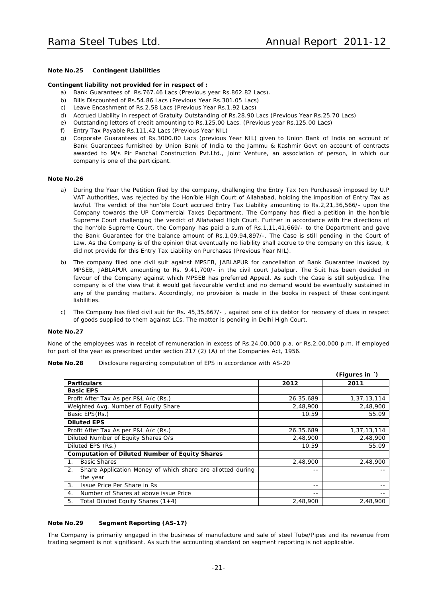*(Figures in `)*

### **Note No.25 Contingent Liabilities**

### **Contingent liability not provided for in respect of :**

- a) Bank Guarantees of Rs.767.46 Lacs (Previous year Rs.862.82 Lacs).
- b) Bills Discounted of Rs.54.86 Lacs (Previous Year Rs.301.05 Lacs)
- c) Leave Encashment of Rs.2.58 Lacs (Previous Year Rs.1.92 Lacs)
- d) Accrued Liability in respect of Gratuity Outstanding of Rs.28.90 Lacs (Previous Year Rs.25.70 Lacs)
- e) Outstanding letters of credit amounting to Rs.125.00 Lacs. (Previous year Rs.125.00 Lacs)
- f) Entry Tax Payable Rs.111.42 Lacs (Previous Year NIL)
- g) Corporate Guarantees of Rs.3000.00 Lacs (previous Year NIL) given to Union Bank of India on account of Bank Guarantees furnished by Union Bank of India to the Jammu & Kashmir Govt on account of contracts awarded to M/s Pir Panchal Construction Pvt.Ltd., Joint Venture, an association of person, in which our company is one of the participant.

### **Note No.26**

- a) During the Year the Petition filed by the company, challenging the Entry Tax (on Purchases) imposed by U.P VAT Authorities, was rejected by the Hon'ble High Court of Allahabad, holding the imposition of Entry Tax as lawful. The verdict of the hon'ble Court accrued Entry Tax Liability amounting to Rs.2,21,36,566/- upon the Company towards the UP Commercial Taxes Department. The Company has filed a petition in the hon'ble Supreme Court challenging the verdict of Allahabad High Court. Further in accordance with the directions of the hon'ble Supreme Court, the Company has paid a sum of Rs.1,11,41,669/- to the Department and gave the Bank Guarantee for the balance amount of Rs.1,09,94,897/-. The Case is still pending in the Court of Law. As the Company is of the opinion that eventually no liability shall accrue to the company on this issue, it did not provide for this Entry Tax Liability on Purchases (Previous Year NIL).
- b) The company filed one civil suit against MPSEB, JABLAPUR for cancellation of Bank Guarantee invoked by MPSEB, JABLAPUR amounting to Rs. 9,41,700/- in the civil court Jabalpur. The Suit has been decided in favour of the Company against which MPSEB has preferred Appeal. As such the Case is still subjudice. The company is of the view that it would get favourable verdict and no demand would be eventually sustained in any of the pending matters. Accordingly, no provision is made in the books in respect of these contingent liabilities.
- c) The Company has filed civil suit for Rs. 45,35,667/- , against one of its debtor for recovery of dues in respect of goods supplied to them against LCs. The matter is pending in Delhi High Court.

### **Note No.27**

None of the employees was in receipt of remuneration in excess of Rs.24,00,000 p.a. or Rs.2,00,000 p.m. if employed for part of the year as prescribed under section 217 (2) (A) of the Companies Act, 1956.

| <b>Dev</b><br>---<br>יי             | $\sim$ |  |
|-------------------------------------|--------|--|
| the contract of the contract of the |        |  |

**Note No.28** Disclosure regarding computation of EPS in accordance with AS-20

| <b>Particulars</b>                                               | 2012      | 2011        |
|------------------------------------------------------------------|-----------|-------------|
| <b>Basic EPS</b>                                                 |           |             |
| Profit After Tax As per P&L A/c (Rs.)                            | 26.35.689 | 1,37,13,114 |
| Weighted Avg. Number of Equity Share                             | 2,48,900  | 2,48,900    |
| Basic EPS(Rs.)                                                   | 10.59     | 55.09       |
| <b>Diluted EPS</b>                                               |           |             |
| Profit After Tax As per P&L A/c (Rs.)                            | 26.35.689 | 1,37,13,114 |
| Diluted Number of Equity Shares O/s                              | 2,48,900  | 2,48,900    |
| Diluted EPS (Rs.)                                                | 10.59     | 55.09       |
| <b>Computation of Diluted Number of Equity Shares</b>            |           |             |
| <b>Basic Shares</b><br>$1_{-}$                                   | 2,48,900  | 2,48,900    |
| Share Application Money of which share are allotted during<br>2. |           |             |
| the year                                                         |           |             |
| 3.<br>Issue Price Per Share in Rs                                | $ -$      |             |
| Number of Shares at above issue Price<br>4.                      | $ -$      |             |
| Total Diluted Equity Shares $(1+4)$<br>5.                        | 2,48,900  | 2,48,900    |

### **Note No.29 Segment Reporting (AS-17)**

The Company is primarily engaged in the business of manufacture and sale of steel Tube/Pipes and its revenue from trading segment is not significant. As such the accounting standard on segment reporting is not applicable.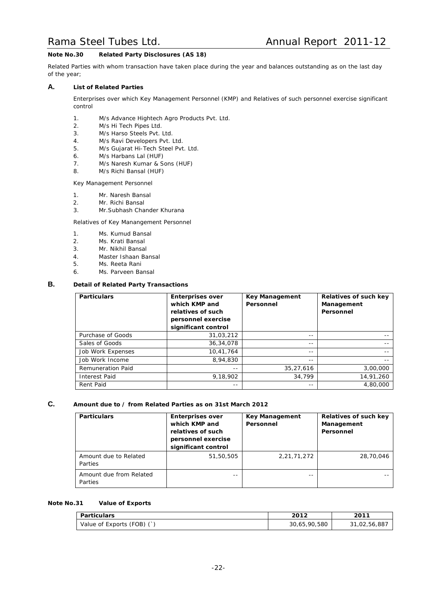### **Note No.30 Related Party Disclosures (AS 18)**

Related Parties with whom transaction have taken place during the year and balances outstanding as on the last day of the year;

### **A. List of Related Parties**

Enterprises over which Key Management Personnel (KMP) and Relatives of such personnel exercise significant control

- 1. M/s Advance Hightech Agro Products Pvt. Ltd.
- 2. M/s Hi Tech Pipes Ltd.
- 3. M/s Harso Steels Pvt. Ltd.
- 4. M/s Ravi Developers Pvt. Ltd.
- 5. M/s Gujarat Hi-Tech Steel Pvt. Ltd.
- 6. M/s Harbans Lal (HUF)
- 7. M/s Naresh Kumar & Sons (HUF)
- 8. M/s Richi Bansal (HUF)

Key Management Personnel

- 1. Mr. Naresh Bansal
- 2. Mr. Richi Bansal
- 3. Mr.Subhash Chander Khurana

Relatives of Key Manangement Personnel

- 1. Ms. Kumud Bansal
- 2. Ms. Krati Bansal
- 3. Mr. Nikhil Bansal
- 4. Master Ishaan Bansal
- 5. Ms. Reeta Rani
- 6. Ms. Parveen Bansal

### **B. Detail of Related Party Transactions**

| <b>Particulars</b>       | <b>Enterprises over</b><br>which KMP and<br>relatives of such<br>personnel exercise<br>significant control | <b>Key Management</b><br>Personnel | Relatives of such key<br>Management<br>Personnel |
|--------------------------|------------------------------------------------------------------------------------------------------------|------------------------------------|--------------------------------------------------|
| Purchase of Goods        | 31,03,212                                                                                                  | $- -$                              |                                                  |
| Sales of Goods           | 36, 34, 078                                                                                                | $- -$                              |                                                  |
| Job Work Expenses        | 10,41,764                                                                                                  | --                                 |                                                  |
| Job Work Income          | 8,94,830                                                                                                   | $- -$                              |                                                  |
| <b>Remuneration Paid</b> | $- -$                                                                                                      | 35,27,616                          | 3,00,000                                         |
| <b>Interest Paid</b>     | 9,18,902                                                                                                   | 34,799                             | 14,91,260                                        |
| Rent Paid                | $- -$                                                                                                      | $- -$                              | 4,80,000                                         |

### **C. Amount due to / from Related Parties as on 31st March 2012**

| <b>Particulars</b>                 | <b>Enterprises over</b><br>which KMP and<br>relatives of such<br>personnel exercise<br>significant control | <b>Key Management</b><br>Personnel | Relatives of such key<br>Management<br>Personnel |
|------------------------------------|------------------------------------------------------------------------------------------------------------|------------------------------------|--------------------------------------------------|
| Amount due to Related<br>Parties   | 51,50,505                                                                                                  | 2, 21, 71, 272                     | 28,70,046                                        |
| Amount due from Related<br>Parties | --                                                                                                         | --                                 |                                                  |

### **Note No.31 Value of Exports**

| Particulars                | 2012         | 2011         |
|----------------------------|--------------|--------------|
| Value of Exports (FOB) (`) | 30,65,90,580 | 31,02,56,887 |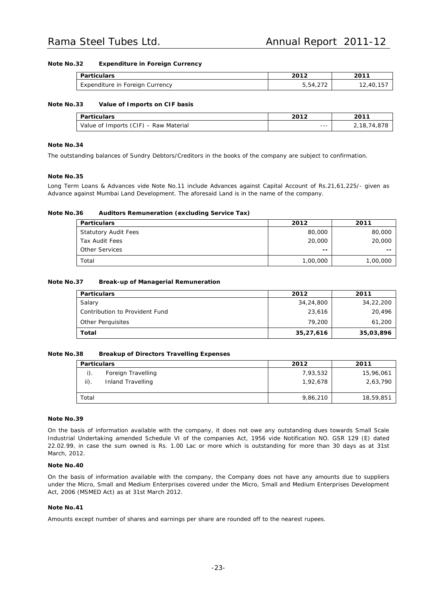### **Note No.32 Expenditure in Foreign Currency**

| Particulars                     | 2012                        | 2011     |
|---------------------------------|-----------------------------|----------|
| Expenditure in Foreign Currency | 5 54 270<br>2 / 2 ، + ت ، ت | 12,40,15 |

### **Note No.33 Value of Imports on CIF basis**

| Particulars                           | 2012    | 2011            |
|---------------------------------------|---------|-----------------|
| Value of Imports (CIF) - Raw Material | $- - -$ | 2,18,<br>74.878 |

### **Note No.34**

The outstanding balances of Sundry Debtors/Creditors in the books of the company are subject to confirmation.

### **Note No.35**

Long Term Loans & Advances vide Note No.11 include Advances against Capital Account of Rs.21,61,225/- given as Advance against Mumbai Land Development. The aforesaid Land is in the name of the company.

### **Note No.36 Auditors Remuneration (excluding Service Tax)**

| <b>Particulars</b>          | 2012                     | 2011     |
|-----------------------------|--------------------------|----------|
| <b>Statutory Audit Fees</b> | 80,000                   | 80,000   |
| Tax Audit Fees              | 20,000                   | 20,000   |
| Other Services              | $\overline{\phantom{m}}$ | $- -$    |
| Total                       | 1,00,000                 | 1,00,000 |

### **Note No.37 Break-up of Managerial Remuneration**

| <b>Particulars</b>             | 2012      | 2011      |
|--------------------------------|-----------|-----------|
| Salary                         | 34,24,800 | 34,22,200 |
| Contribution to Provident Fund | 23,616    | 20,496    |
| <b>Other Perguisites</b>       | 79,200    | 61,200    |
| Total                          | 35,27,616 | 35,03,896 |

### **Note No.38 Breakup of Directors Travelling Expenses**

| <b>Particulars</b> |                    | 2012     | 2011      |
|--------------------|--------------------|----------|-----------|
| $i$ ).             | Foreign Travelling | 7,93,532 | 15,96,061 |
| $\mathsf{ii}$ .    | Inland Travelling  | 1,92,678 | 2,63,790  |
|                    |                    |          |           |
| Total              |                    | 9,86,210 | 18,59,851 |

### **Note No.39**

On the basis of information available with the company, it does not owe any outstanding dues towards Small Scale Industrial Undertaking amended Schedule VI of the companies Act, 1956 vide Notification NO. GSR 129 (E) dated 22.02.99, in case the sum owned is Rs. 1.00 Lac or more which is outstanding for more than 30 days as at 31st March, 2012.

### **Note No.40**

On the basis of information available with the company, the Company does not have any amounts due to suppliers under the Micro, Small and Medium Enterprises covered under the Micro, Small and Medium Enterprises Development Act, 2006 (MSMED Act) as at 31st March 2012.

### **Note No.41**

Amounts except number of shares and earnings per share are rounded off to the nearest rupees.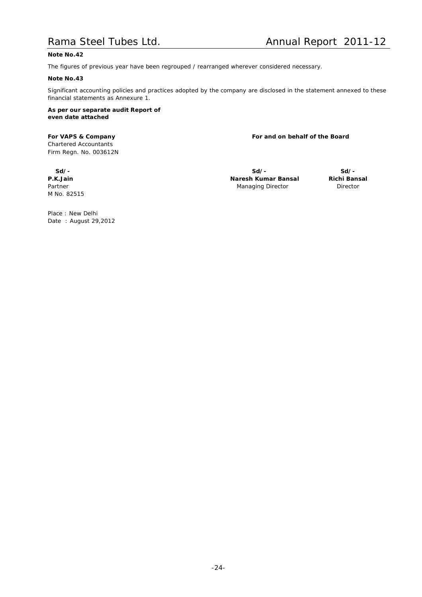### **Note No.42**

The figures of previous year have been regrouped / rearranged wherever considered necessary.

### **Note No.43**

Significant accounting policies and practices adopted by the company are disclosed in the statement annexed to these financial statements as Annexure 1.

**As per our separate audit Report of even date attached**

*Chartered Accountants* Firm Regn. No. 003612N

**For VAPS & Company For and on behalf of the Board**

M No. 82515

**Sd/- Sd/- Sd/- P.K.Jain Naresh Kumar Bansal Richi Bansal Partner Managing Director Director Director Director Director Director** 

Place : New Delhi Date : August 29,2012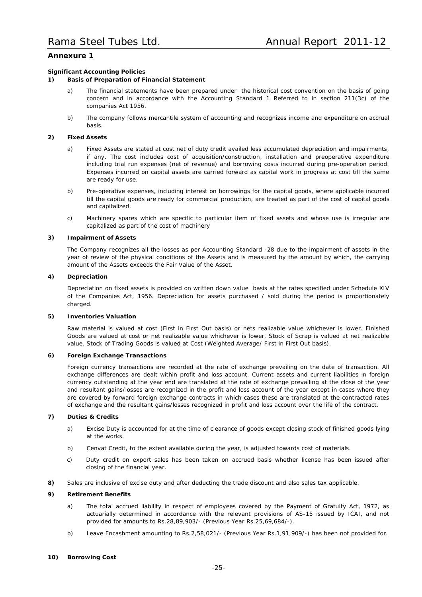### **Annexure 1**

### **Significant Accounting Policies**

### **1) Basis of Preparation of Financial Statement**

- a) The financial statements have been prepared under the historical cost convention on the basis of going concern and in accordance with the Accounting Standard 1 Referred to in section 211(3c) of the companies Act 1956.
- b) The company follows mercantile system of accounting and recognizes income and expenditure on accrual basis.

### **2) Fixed Assets**

- a) Fixed Assets are stated at cost net of duty credit availed less accumulated depreciation and impairments, if any. The cost includes cost of acquisition/construction, installation and preoperative expenditure including trial run expenses (net of revenue) and borrowing costs incurred during pre-operation period. Expenses incurred on capital assets are carried forward as capital work in progress at cost till the same are ready for use.
- b) Pre-operative expenses, including interest on borrowings for the capital goods, where applicable incurred till the capital goods are ready for commercial production, are treated as part of the cost of capital goods and capitalized.
- c) Machinery spares which are specific to particular item of fixed assets and whose use is irregular are capitalized as part of the cost of machinery

### **3) Impairment of Assets**

The Company recognizes all the losses as per Accounting Standard -28 due to the impairment of assets in the year of review of the physical conditions of the Assets and is measured by the amount by which, the carrying amount of the Assets exceeds the Fair Value of the Asset.

### **4) Depreciation**

Depreciation on fixed assets is provided on written down value basis at the rates specified under Schedule XIV of the Companies Act, 1956. Depreciation for assets purchased / sold during the period is proportionately charged.

### **5) Inventories Valuation**

Raw material is valued at cost (First in First Out basis) or nets realizable value whichever is lower. Finished Goods are valued at cost or net realizable value whichever is lower. Stock of Scrap is valued at net realizable value. Stock of Trading Goods is valued at Cost (Weighted Average/ First in First Out basis).

### **6) Foreign Exchange Transactions**

Foreign currency transactions are recorded at the rate of exchange prevailing on the date of transaction. All exchange differences are dealt within profit and loss account. Current assets and current liabilities in foreign currency outstanding at the year end are translated at the rate of exchange prevailing at the close of the year and resultant gains/losses are recognized in the profit and loss account of the year except in cases where they are covered by forward foreign exchange contracts in which cases these are translated at the contracted rates of exchange and the resultant gains/losses recognized in profit and loss account over the life of the contract.

### **7) Duties & Credits**

- a) Excise Duty is accounted for at the time of clearance of goods except closing stock of finished goods lying at the works.
- b) Cenvat Credit, to the extent available during the year, is adjusted towards cost of materials.
- c) Duty credit on export sales has been taken on accrued basis whether license has been issued after closing of the financial year.
- **8)** Sales are inclusive of excise duty and after deducting the trade discount and also sales tax applicable.

### **9) Retirement Benefits**

- a) The total accrued liability in respect of employees covered by the Payment of Gratuity Act, 1972, as actuarially determined in accordance with the relevant provisions of AS-15 issued by ICAI, and not provided for amounts to Rs.28,89,903/- (Previous Year Rs.25,69,684/-).
- b) Leave Encashment amounting to Rs.2,58,021/- (Previous Year Rs.1,91,909/-) has been not provided for.

### **10) Borrowing Cost**